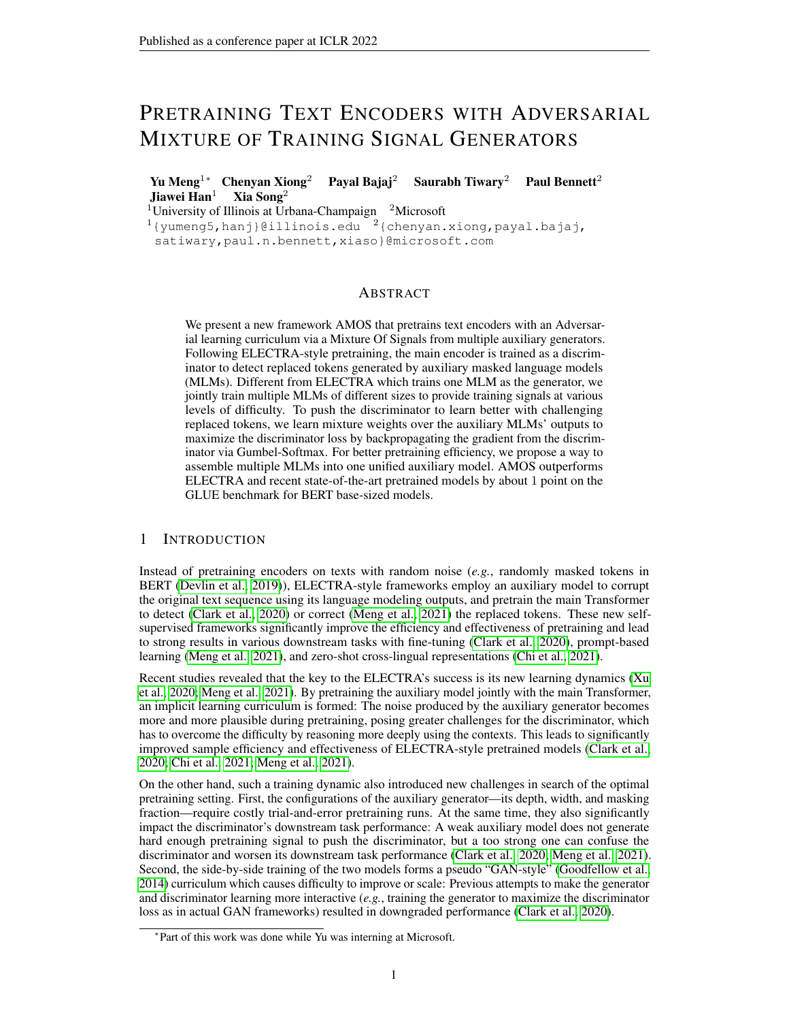# PRETRAINING TEXT ENCODERS WITH ADVERSARIAL MIXTURE OF TRAINING SIGNAL GENERATORS

Yu Meng<sup>1∗</sup> Chenyan Xiong<sup>2</sup> Payal Bajaj<sup>2</sup> Saurabh Tiwary<sup>2</sup> Paul Bennett<sup>2</sup> Jiawei Han<sup>1</sup> Xia Song<sup>2</sup>

<sup>1</sup>University of Illinois at Urbana-Champaign  $2$ Microsoft

 $1$ {yumeng5,hanj}@illinois.edu  $2$ {chenyan.xiong,payal.bajaj,

satiwary,paul.n.bennett,xiaso}@microsoft.com

# ABSTRACT

We present a new framework AMOS that pretrains text encoders with an Adversarial learning curriculum via a Mixture Of Signals from multiple auxiliary generators. Following ELECTRA-style pretraining, the main encoder is trained as a discriminator to detect replaced tokens generated by auxiliary masked language models (MLMs). Different from ELECTRA which trains one MLM as the generator, we jointly train multiple MLMs of different sizes to provide training signals at various levels of difficulty. To push the discriminator to learn better with challenging replaced tokens, we learn mixture weights over the auxiliary MLMs' outputs to maximize the discriminator loss by backpropagating the gradient from the discriminator via Gumbel-Softmax. For better pretraining efficiency, we propose a way to assemble multiple MLMs into one unified auxiliary model. AMOS outperforms ELECTRA and recent state-of-the-art pretrained models by about 1 point on the GLUE benchmark for BERT base-sized models.

### 1 INTRODUCTION

Instead of pretraining encoders on texts with random noise (*e.g.*, randomly masked tokens in BERT [\(Devlin et al., 2019\)](#page-9-0)), ELECTRA-style frameworks employ an auxiliary model to corrupt the original text sequence using its language modeling outputs, and pretrain the main Transformer to detect [\(Clark et al., 2020\)](#page-9-1) or correct [\(Meng et al., 2021\)](#page-10-0) the replaced tokens. These new selfsupervised frameworks significantly improve the efficiency and effectiveness of pretraining and lead to strong results in various downstream tasks with fine-tuning [\(Clark et al., 2020\)](#page-9-1), prompt-based learning [\(Meng et al., 2021\)](#page-10-0), and zero-shot cross-lingual representations [\(Chi et al., 2021\)](#page-9-2).

Recent studies revealed that the key to the ELECTRA's success is its new learning dynamics [\(Xu](#page-11-0) [et al., 2020;](#page-11-0) [Meng et al., 2021\)](#page-10-0). By pretraining the auxiliary model jointly with the main Transformer, an implicit learning curriculum is formed: The noise produced by the auxiliary generator becomes more and more plausible during pretraining, posing greater challenges for the discriminator, which has to overcome the difficulty by reasoning more deeply using the contexts. This leads to significantly improved sample efficiency and effectiveness of ELECTRA-style pretrained models [\(Clark et al.,](#page-9-1) [2020;](#page-9-1) [Chi et al., 2021;](#page-9-2) [Meng et al., 2021\)](#page-10-0).

On the other hand, such a training dynamic also introduced new challenges in search of the optimal pretraining setting. First, the configurations of the auxiliary generator—its depth, width, and masking fraction—require costly trial-and-error pretraining runs. At the same time, they also significantly impact the discriminator's downstream task performance: A weak auxiliary model does not generate hard enough pretraining signal to push the discriminator, but a too strong one can confuse the discriminator and worsen its downstream task performance [\(Clark et al., 2020;](#page-9-1) [Meng et al., 2021\)](#page-10-0). Second, the side-by-side training of the two models forms a pseudo "GAN-style" [\(Goodfellow et al.,](#page-9-3) [2014\)](#page-9-3) curriculum which causes difficulty to improve or scale: Previous attempts to make the generator and discriminator learning more interactive (*e.g.*, training the generator to maximize the discriminator loss as in actual GAN frameworks) resulted in downgraded performance [\(Clark et al., 2020\)](#page-9-1).

<sup>∗</sup> Part of this work was done while Yu was interning at Microsoft.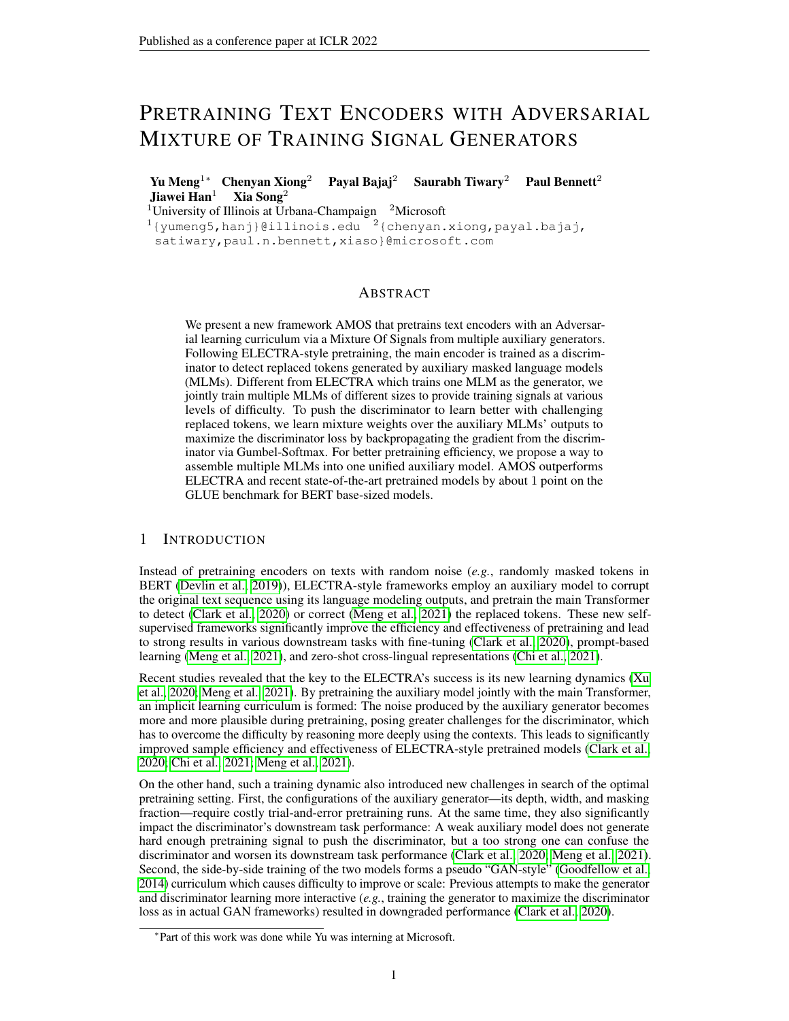In this paper, we present a new approach that learns to automatically select pretraining signals and constructs the learning curriculum of ELECTRA-style frameworks. Our approach, AMOS, "*A*dversarial *M*ixture *O*f *S*ignals" for text encoder pretraining, samples a diverse set of pretraining signals from different layers of an auxiliary generator. The sampling is conducted with Gumbel-Softmax gradient estimation of the (reversed) gradient backpropagated from the main discriminator, which allows adversarial learning of mixture weights over the auxiliary generator's signals. In this way, AMOS constructs a more diverse set of pretraining signals for the main discriminator training and enables an automatic selection of the signals to form a more effective learning curriculum. In addition, by sampling from different layers of one generator model, AMOS ensures minimum computation overhead.

Our experiments on the GLUE and SQuAD benchmark demonstrate the effectiveness of AMOS. In the standard  $BERT_{Base}$  and  $RoBERT_{Base++}$  pretraining settings [\(Devlin et al., 2019\)](#page-9-0), AMOS shows robust advantage across all included language representation tasks. The improvements are significant as it advances the state-of-the-arts by about 1 absolute point on average GLUE score and has competitive SQuAD accuracy. Our thorough ablation studies confirm that such effectiveness stems from the diverse training signals from the mixture of generators and the adversarial learning approach to combine them.<sup>[1](#page-1-0)</sup>

In the rest of this paper, we first recap related work (Section [2\)](#page-1-1) and then propose our methods (Section [3\)](#page-2-0). After that we describe our experimental settings (Section [4\)](#page-5-0) and evaluation results (Section [5\)](#page-6-0). The last section concludes and discusses potential future research directions.

# <span id="page-1-1"></span>2 RELATED WORK

Besides the standard auto-regressive language modeling [\(Radford et al., 2019\)](#page-10-1) and masked language modeling (MLM) [\(Devlin et al., 2019\)](#page-9-0), many have explored different designs of the pretraining task, for example, prefix language modeling [\(Raffel et al., 2019\)](#page-10-2), permutational language modeling [\(Yang](#page-11-1) [et al., 2019\)](#page-11-1), and unified language modeling [\(Dong et al., 2019\)](#page-9-4). The advantage of *manually constructed* pretraining tasks is more often observed in an application-specific manner, where prior knowledge about the target scenario is introduced [\(Guu et al., 2020;](#page-10-3) [Roberts et al., 2020;](#page-11-2) [Jia et al.,](#page-10-4) [2021;](#page-10-4) [Lu et al., 2021\)](#page-10-5). To pretrain general purpose language representations, the standard MLM task often offers the best combination of simplicity, robustness, and generalization ability among those manually constructed pretraining signals [\(Raffel et al., 2019;](#page-10-2) [Lewis et al., 2019\)](#page-10-6).

[Clark et al.](#page-9-1) [\(2020\)](#page-9-1) developed a novel framework ELECTRA to pretrain Transformers with *modelgenerated* signals. They employed an auxiliary MLM model, the "generator", to replace the masked positions in the input sequence with tokens sampled from its language model head. The main Transformer, the "discriminator", is pretrained to detect the replaced tokens. In this way, the main model is trained to the denoise the more challenging noises from the auxiliary language model. As a result, ELECTRA requires much fewer pretraining data points to reach the performance of MLM pretrained models, and offers better downstream performance when converged.

The unique effectiveness of ELECTRA intrigued many studies to understand its real source of advantage. [Clark et al.](#page-9-1) [\(2020\)](#page-9-1) originally noted the sample efficiency comes from ELECTRA's replaced token detection task being able to leverage all token positions for training. Later, [Xu](#page-11-0) [et al.](#page-11-0) [\(2020\)](#page-11-0) pointed to the more influential change of the pretraining task complexity for the main Transformer. Recently, [Meng et al.](#page-10-0) [\(2021\)](#page-10-0) conducted a thorough ablation study on many variants of ELECTRA-style models and revealed the benefits of pretraining with more challenge signals generated by the auxiliary model, as well as the implicit learning curriculum by pretraining two models side-by-side.

One popular line of research to improve ELECTRA-style models is to upgrade the replaced token detection task to more semantically informative ones. [Xu et al.](#page-11-0) [\(2020\)](#page-11-0) proposed the multi-word choice task which pretrains the main model to pick the original token from a small candidate set. COCO-LM developed a corrective language modeling task which pretrains the main model to recover the original tokens [\(Meng et al., 2021\)](#page-10-0).

<span id="page-1-0"></span><sup>&</sup>lt;sup>1</sup>Code and pretrained models can be found at <https://github.com/microsoft/AMOS>.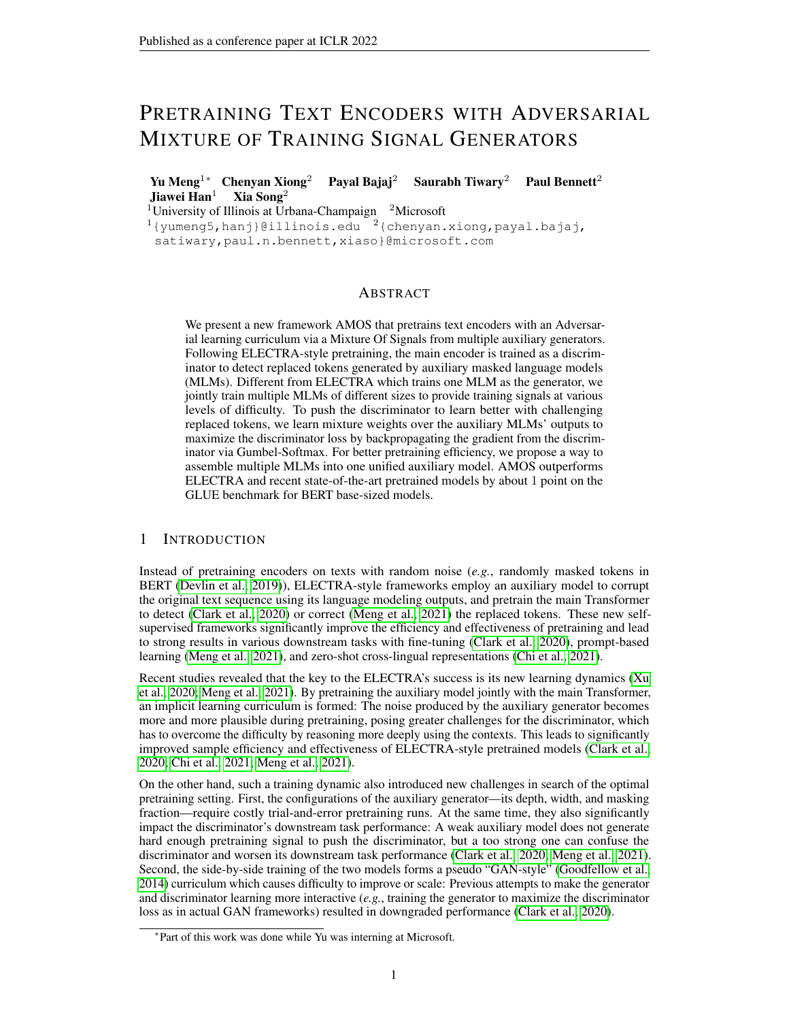Another line of research is to improve the training signal construction on the auxiliary side. In ELECTRA, [Clark et al.](#page-9-1) [\(2020\)](#page-9-1) experimented with adversarially training the auxiliary model using feedback from the discriminator model via reinforcement learning, but observed worse downstream performance. [Hao et al.](#page-10-7) [\(2021\)](#page-10-7) kept the auxiliary model unchanged and augmented the replaced token sampling with predicted signal difficulty and smoothed probability via Focal Loss [\(Lin et al.,](#page-10-8) [2017\)](#page-10-8). In this work, we continue this line of research and focus on how to more automatically and effectively construct the learning signals for ELECTRA-style models.

### <span id="page-2-0"></span>3 METHOD

In this section, we first recap the preliminary of ELECTRA-style pretraining, the explorations of its learning curriculum, and then present our AMOS framework.

### 3.1 PRELIMINARY ON ELECTRA-STYLE PRETRAINING

In ELECTRA-style pretraining [\(Clark et al., 2020\)](#page-9-1), two Transformer models are trained side-by-side: One is trained via standard masked language modeling (MLM) and is used to generate replaced tokens to corrupt the original sequences; the other is trained to denoise the corruptions from the first model (*e.g.*, via replaced token detection (RTD) [\(Clark et al., 2020\)](#page-9-1), multi-word choice [\(Xu et al.,](#page-11-0) [2020\)](#page-11-0), or corrective language modeling [\(Meng et al., 2021\)](#page-10-0)). The second model is the main model to use in downstream tasks (the "discriminator"). The first one is the auxiliary, often referred to as the training data "generator". In this work we built upon the original ELECTRA setup where the main model is trained with RTD.

**Generator Training.** Given an original sequence  $X^{\text{orig}} = [X_1^{\text{orig}}; \dots; X_n^{\text{orig}}; \dots; X_n^{\text{orig}}]$ , 15% of its tokens are randomly replaced by [MASK] symbols, and the resulting masked sequence  $X^{\text{mask}} =$  $[x_1^{\text{orig}};...;$  [MASK] $_i$ ::::  $x_n^{\text{orig}}$ ] is fed to the generator which is trained via the following loss to predict the original tokens from the vocabulary  $V$  at the set of masked positions  $M$ :

$$
p_{\text{MLM}}(x_t|\boldsymbol{h}_i) = \frac{\exp(\boldsymbol{x}_t^{\top}\boldsymbol{h}_i)}{\sum_{t^0=1}^{|V|}\exp(\boldsymbol{x}_{t^0}^{\top}\boldsymbol{h}_i)}; \quad \text{L}_{\text{GEN}} = \text{E}\left(\sum_{i\in\mathcal{M}}\log p_{\text{MLM}}\left(x_i^{\text{orig}}|\boldsymbol{h}_i\right)\right);
$$

where  $f h_i g_{i=1}^n$  are the contextualized representations generated by the Transformer (after the projection head) and  $f\mathbf{x}_t g_{t=1}^{|V|}$  are the token embeddings.

**Discriminator Training.** A replaced sequence  $X^{rep}$  is constructed by sampling from the generator's MLM probability distribution:

<span id="page-2-1"></span>
$$
x_i^{\text{rep}} \quad p_{\text{MLM}}(x/\mathbf{h}_i) \; ; \; \text{if} \; i \; 2 \; \mathcal{M} \; ; \quad x_i^{\text{rep}} = x_i^{\text{orig}} \; ; \; \text{else.}
$$

The discriminator takes  $X^{rep}$  as input and is trained to distinguish replaced tokens produced by the generator against the original tokens via the binary classification loss:

$$
L_{\text{DISC}} = E \left( \sum_{\substack{x_i^{\text{rep}} = x_j^{\text{orig}}}} \log \rho_{\text{RTD}} \left( x_i^{\text{rep}} = x_i^{\text{orig}} \middle| \mathbf{h}_i \right) \sum_{\substack{x_i^{\text{rep}} \neq x_i^{\text{orig}} \\ X_i^{\text{rep}} \neq x_i^{\text{orig}}}} \log \left( 1 - \rho_{\text{RTD}} \left( x_i^{\text{rep}} = x_i^{\text{orig}} \middle| \mathbf{h}_i \right) \right) \right) ;
$$
\n(1)

where  $p_{\text{RTD}}(x_i^{\text{rep}} = x_i^{\text{orig}} | \mathbf{h}_i) = \exp(\mathbf{w}^{\top} \mathbf{h}_i) = (1 + \exp(\mathbf{w}^{\top} \mathbf{h}_i))$  and w is a learnable weight vector.

By training the generator side-by-side with the discriminator, this ELECTRA-Style framework constructs a natural learning curriculum for the main model. At the beginning, the generator is weak and the replaced tokens are nearly random, making the pretraining task of the main model easy for a head start. As the generator learns better, the corruptions from it become more challenging, which increase the difficulty of the learning task for the main model. After a series of studies, recent research confirmed that this curriculum learning is the key to ELECTRA-style framework's effectiveness [\(Clark et al., 2020;](#page-9-1) [Xu et al., 2020;](#page-11-0) [Meng et al., 2021\)](#page-10-0). Pretraining with randomly replaced tokens or starting with a converged generator's harder signals both significantly worsen the discriminator effectiveness [\(Meng et al., 2021\)](#page-10-0).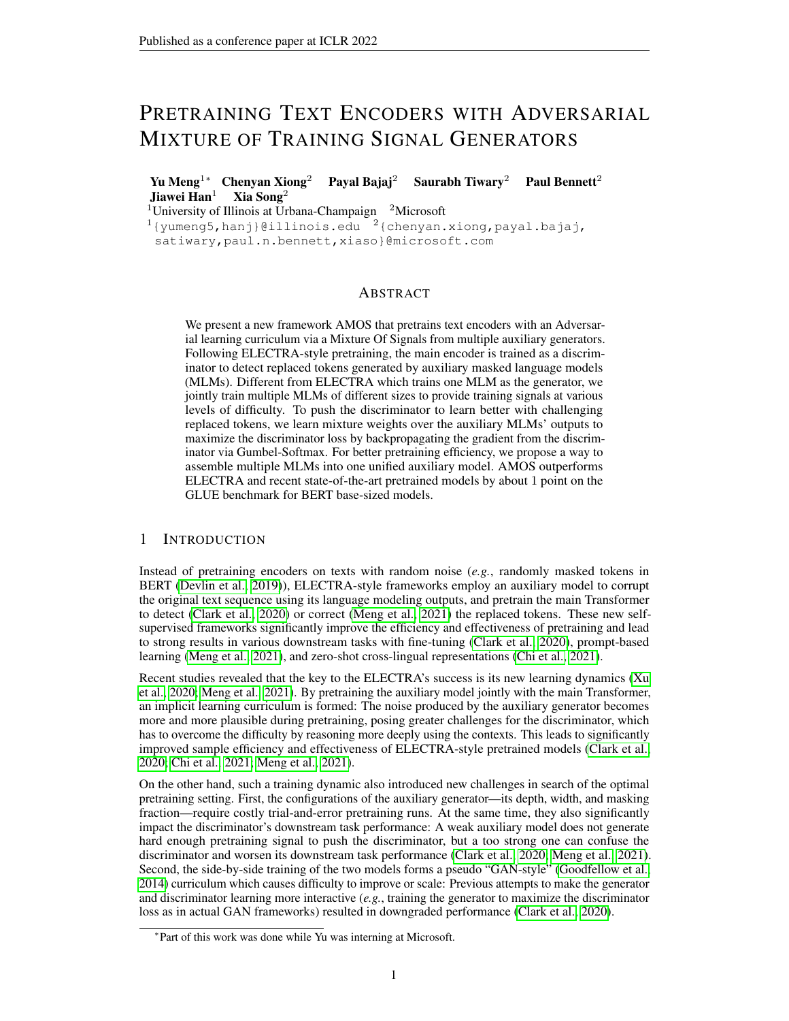#### 3.2 IN SEARCH OF THE OPTIMAL CURRICULUM IN ELECTRA

In general, configuring a learning curriculum for neural model training is tricky [\(Bengio et al., 2009;](#page-9-5) [Hacohen & Weinshall, 2019\)](#page-10-9). Many moving pieces are involved—how to measure the difficulty of training signals; when and how to change the training signal difficulty—all require manual trialand-error and careful designs [\(Graves et al., 2017\)](#page-10-10). The same challenge persists in ELECTRA-style pretraining models. More specifically, it is unclear how to choose the size of the generator network and how to control the training dynamics of the generator and discriminator.

Generator Size. There are many factors on the auxiliary side that affect the difficulty of the generated signals: Network depth, width, MLM mask fraction, and whether to use dropout when sampling the replaced tokens. All of these have notable impact on the performance of the pretrained discriminator model. The general consensus is that the generator should be smaller than the discriminator but all the rest vary setting by setting.

The original ELECTRA framework kept the generator's Transformer layer depth the same with the discriminator model, enabled dropout in both its

<span id="page-3-0"></span>

Figure 1: (a) After pretraining: Distribution of discriminator loss on replaced tokens by 4=6=8-layer generators. Histograms/Curves are distribution bins/kernel density estimates. (b) During pretraining: 4=6=8-layer generator loss.

training and sampling, and mainly explored using a smaller width (*e.g.*, with 1=3 hidden dimensions of the main model). They also empirically found that large-sized discriminators prefer different mask fractions on the generator side.

Later, COCO-LM [\(Meng et al., 2021\)](#page-10-0) empirically found that it is better to use a shallower generator but of the same width as the main model, while also disabling dropout when sampling replaced tokens. The depth of the generator is still chosen empirically and the optimal settings vary with the configurations of the discriminator model.

To illustrate the difficulty of training signals by generators with different depths, we train BERT<sub>Base</sub>sized discriminators with 4/6/8-layer generators, and show their RTD loss on replaced tokens by these different-sized generators in Figure [1a.](#page-3-0) The average discriminator loss grows with generator depth, indicating the increased signal difficulty, and the three distributions overlap with each other. The current practice is to enumerate different generators and choose the one leading to the best downstream task performance of the discriminator, which is tedious and unsustainable.

Generator Training Dynamics. As discussed earlier, ELECTRA constructs an implicit learning curriculum with the training process of the generator. To illustrate this implicit curriculum, in Figure [1b](#page-3-0) we plot the MLM loss of the generators during pretraining. The convergence of the MLM models follows a logarithmic schedule: The loss drops sharply in the first 10% of pretraining and decreases slowly afterwards. It is unclear whether such a training process of the generator automatically leads to the optimal curriculum for discriminator training. Unfortunately, it is challenging to manually explore different generator training dynamics in ELECTRA-style frameworks as it is trained side-by-side with the discriminator.

One idea to improve ELECTRA-style frameworks is to connect the training of the generator with feedbacks from the discriminator (*e.g.*, as in GAN-style models [\(Goodfellow et al., 2014\)](#page-9-3)) so that the generator can be adapted based on the latest discriminator's state throughout pretraining. [Clark](#page-9-1) [et al.](#page-9-1) [\(2020\)](#page-9-1) experimented with training the generators to produce more difficult signals for the discriminator, using policy gradients from the latter. However, this adversarial setup makes the training unstable and yields worse results, similar to the instability of GAN-style training in other language modeling tasks [\(Caccia et al., 2020\)](#page-9-6). [Hao et al.](#page-10-7) [\(2021\)](#page-10-7) introduced a training signal difficulty estimator to adjust the sampling of replaced tokens in MLM for more challenging training signals. It achieved better results than the original ELECTRA but still kept the generator training intact.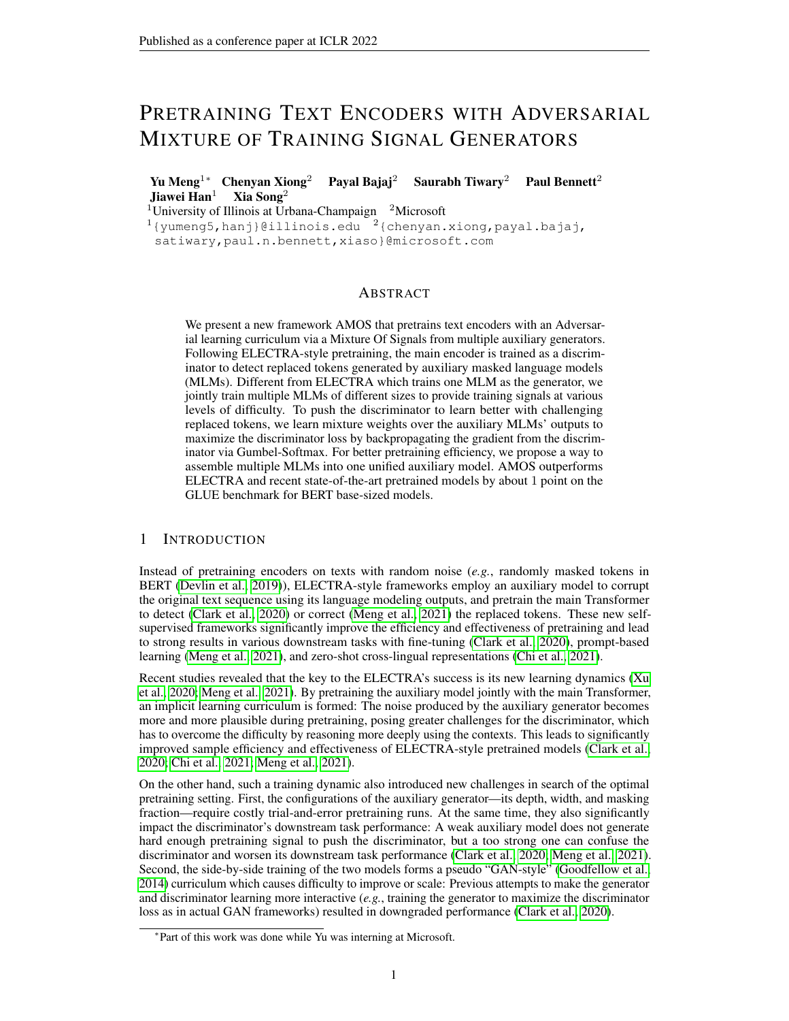<span id="page-4-0"></span>

Figure 2: Overview of AMOS. The generator has multiple layers trained with MLM to provide training signals of various levels of difficulty. The mixture weights over MLM outputs are learned to maximize the discriminator loss, by backpropagating the estimated reversed gradient from the discriminator via Gumbel-Softmax. The discriminator is trained by the RTD task.

#### 3.3 ADVERSARIAL LEARNING WITH MIXTURE OF GENERATORS

Intuitively, different-sized generators provide training signals at different levels of difficulty and also may advocate the discriminator to capture different linguistic information. For example, as shown in various probing studies [\(Tenney et al., 2019a;](#page-11-3)[b\)](#page-11-4), a very shallow MLM model may still make trivial syntactic mistakes, thus the discriminator can focus on learning simple language syntax to identify these errors, while the errors made by a deep MLM model may require the discriminator to capture more sophisticated language semantics to detect.

In this work, instead of empirically searching for the best generator setup, we propose the AMOS framework that (1) employs multiple MLM generators to construct a diverse set of pretraining signals, and (2) adversarially learns the mixture of these generator outputs from discriminator feedback to construct more challenging signals. These two designs enable AMOS to automatically compose an effective curriculum. Figure [2](#page-4-0) shows an overview of our AMOS framework.

Multi-Layer MLM Generator. A straightforward way to obtain a diverse set of signals for replaced token generation is to utilize multiple generator networks of different depths. However, jointly training K different MLM generators is expensive. Therefore, we propose to train a single generator with multiple MLM heads at different layers to mimic the effect of using multiple MLM generators. Specifically, suppose we aim to use K generators of depths  $D = fd_1/d_2$ ; :::;  $d_K g(d_1 < d_2$  $d_K$ ), then we will instead train one generator of depth  $d_K$ , and insert an MLM head to each layer  $d$  2 D. The K MLM heads will be jointly trained and the MLM head parameters are shared across the  $K$  heads:

<span id="page-4-1"></span>
$$
\rho_{\text{MLM}}\left(x_t\big|\boldsymbol{h}_i^{(d)}\right) = \frac{\exp\left(\boldsymbol{x}_t^{\top}\boldsymbol{h}_i^{(d)}\right)}{\sum_{t^0=1}^{|V|}\exp\left(\boldsymbol{x}_{t^0}^{\top}\boldsymbol{h}_i^{(d)}\right)};\ \ \text{L}_{\text{GEN}} = \text{E}\left(\sum_{i\in\mathcal{M}}\sum_{d\in\mathcal{D}}\log\rho_{\text{MLM}}\left(x_i^{\text{orig}}\big|\boldsymbol{h}_i^{(d)}\right)\right); \ \ (2)
$$

where  $fh_i^{(d)}g_{i=1}^n$  are the contextualized representations generated by the Transformer at the *dth* layer (after the projection head). During training, gradient backpropagation from upper layers is disabled at each layer  $d \n\supseteq D$  so that the generator is partitioned into K blocks where each block is trained via its own MLM objective without being disturbed by other blocks. This allows each block to act as individual MLM generators, while also leveraging the representations generated by previous blocks.

Learning Adversarial Mixture Weights. It would be desirable to progressively adapt the output signals of the multi-layer MLM generator based on the discriminator's state throughout pretraining. The generated replaced tokens are thus more informative for discriminator training (*i.e.*, avoid generating easy signals which can already be well distinguished by the discriminator). Given the instability of GAN-style training to language modeling [\(Caccia et al., 2020;](#page-9-6) [Clark et al., 2020\)](#page-9-1), we maintain the MLM training objective of the generator, and adjust the outputs of the generator by learning mixture weights over the multiple MLM heads' outputs.

Specifically, for each masked position  $i \, 2 \, \mathcal{M}$ , we learn mixture weights i over the embeddings  $h_i^{(d)}$ , which is generated by each MLM head, to obtain the combined MLM embedding  $\bar{h}_i$ . Then the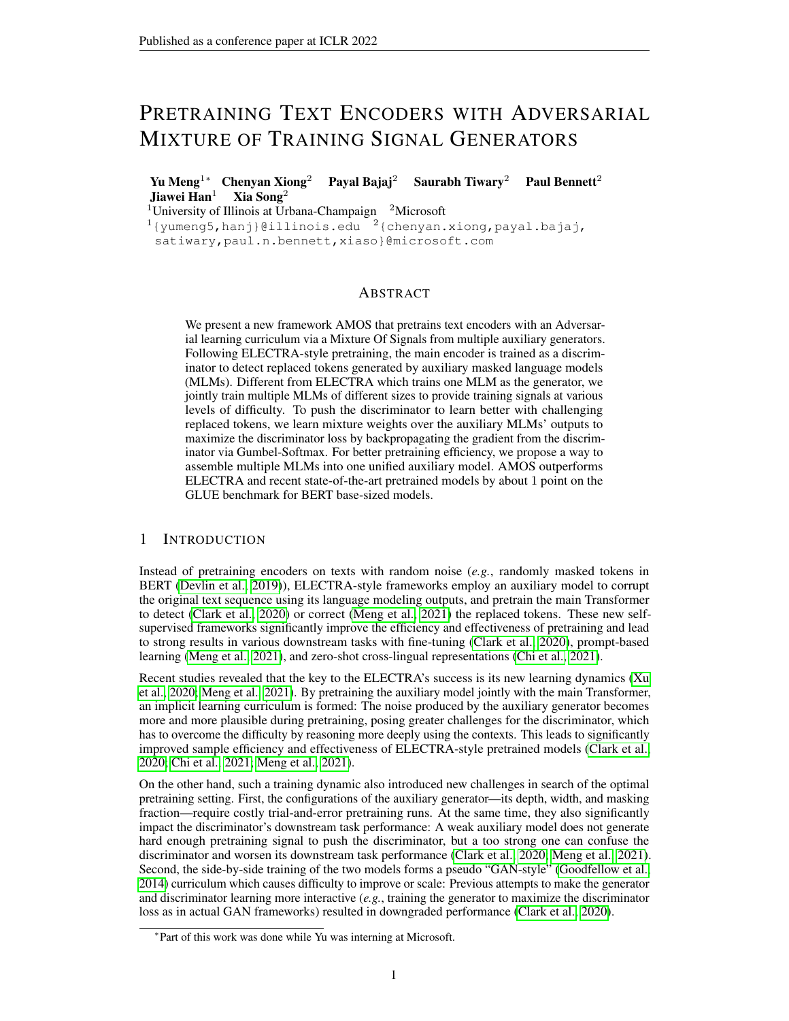final token sampling probability distribution  $p_{MLM}$  is computed:

<span id="page-5-1"></span>
$$
j^{(d)}_j = \frac{\exp\left(\mathbf{V}^\top \mathbf{f}_j^{(d)}\right)}{\sum_{d^0 \in \mathcal{D}} \exp\left(\mathbf{V}^\top \mathbf{f}_j^{(d^0)}\right)}; \ \bar{\mathbf{h}}_i = \sum_{d \in \mathcal{D}} \left\{j^{(d)} \mathbf{h}_i^{(d)}; \ \rho_{\text{MLM}}\left(x_t | \bar{\mathbf{h}}_i\right) = \frac{\exp\left(\mathbf{x}_t^\top \bar{\mathbf{h}}_i\right)}{\sum_{t^0=1}^{|V|} \exp\left(\mathbf{x}_{t^0}^\top \bar{\mathbf{h}}_i\right)}; \ (3)
$$

where **v** is a learnable weight vector;  $f f_i^{(d)} g_{i=1}^n$  are the contextualized representations generated by the Transformer at the dth layer (before the projection head in MLM).

However, directly sampling from the above MLM distribution fails to enable the mixture weight learning to be guided by the discriminator: The sampling operation is non-differentiable and prevents gradient backpropagation from the discriminator to the generator. We leverage Gumbel-Softmax [\(Jang](#page-10-11) [et al., 2017\)](#page-10-11) for a continuous approximation to the sampling operation for gradient estimation:

$$
\hat{p}_{\text{MLM}}\left(x_t|\bar{\boldsymbol{h}}_i\right) = \frac{\exp\left((\log t + gt) - \epsilon\right)}{\sum_{t'=1}^{|V|} \exp\left((\log t + gt') - \epsilon\right)}; \quad \text{8t}; \quad t = p_{\text{MLM}}\left(x_t|\bar{\boldsymbol{h}}_i\right); \quad \text{Gumbel}(0,1);
$$

where is a temperature hyperparameter (a smaller results in a more accurate approximation).

Once we have the gradient estimation backpropagated from the discriminator side, we will update the mixture weights to *maximize* the discriminator loss. This forms an *adversarial* learning curriculum as the multiple MLMs' outputs are always combined to construct challenging replaced tokens given the latest discriminator state. Such an adversarial learning setup can be easily implemented via a gradient reversal layer [\(Ganin et al., 2016\)](#page-9-7) that multiplies the gradient backpropagated from the discriminator side by 1 when updating the mixture weights.

**Overall Training.** AMOS jointly trains the multi-layer MLM generator  $_{GEN}$ , the mixture weight parameter  $v$ , and the discriminator  $_{\text{DISC}}$  via the following losses:

$$
\frac{\ast}{\text{GEN}}; \mathbf{V}^* \qquad \arg\min_{\mathbf{\theta}_{\text{GEN}};\mathbf{v}} \left( \angle_{\text{GEN}} \qquad \angle_{\text{DISC}} \right); \qquad \frac{\ast}{\text{DISC}} \qquad \arg\min_{\mathbf{\theta}_{\text{DISC}}}\angle_{\text{DISC}}; \tag{4}
$$

where is a hyperparameter balancing the weight of the two losses. Similar to ELECTRA, the generator minimizes  $L_{\text{GEN}}$  in Eqn. [\(2\)](#page-4-1) and the discriminator minimizes  $L_{\text{DISC}}$  in Eqn. [\(1\)](#page-2-1). The notable difference from ELECTRA is that AMOS additionally trains the generator's mixture weights (thus  $v$  and  $_{\text{GEN}}$ ) to maximize the discriminator loss. Note that the gradient backpropagated from the discriminator through the Gumbel-Softmax estimation is used to update the mixture weights, but *not* the MLM embeddings (*i.e.*, in Eqn. [\(3\)](#page-5-1),  $\int_{i}^{(d)}$  is updated by the gradient from the discriminator side, while  $h_i^{(d)}$  is not). This guarantees that the generator's language modeling ability is still acquired through the MLM task without being disturbed by discriminator signals.

#### <span id="page-5-0"></span>4 EXPERIMENTAL SETUP

Pretraining Settings. We experiment with two standard pretraining settings, *base* and *base++*: Base is the BERT<sub>Base</sub> training configuration [\(Devlin et al., 2019\)](#page-9-0): Pretraining on Wikipedia and BookCorpus [\(Zhu et al., 2015\)](#page-12-0) (16 GB of texts) for 256 million samples on 512 token sequences (125K batches with 2048 batch size). We use the same corpus and 32; 768 uncased BPE vocabulary [\(Sennrich](#page-11-5) [et al., 2015\)](#page-11-5) as with TUPE [\(Ke et al., 2020\)](#page-10-12) and COCO-LM [\(Meng et al., 2021\)](#page-10-0).

*Base++* trains the base size model with larger corpora and/or more training steps. We add in OpenWebText [\(Gokaslan & Cohen, 2019\)](#page-9-8), CC-News [\(Liu et al., 2019\)](#page-10-13) and STORIES [\(Trinh & Le,](#page-11-6) [2018\)](#page-11-6), to a total of 160 GB texts, and train for 4 billion (with 2048 batch size) samples, following recent research [Bao et al.](#page-9-9) [\(2020\)](#page-9-9); [Liu et al.](#page-10-13) [\(2019\)](#page-10-13); [Yang et al.](#page-11-1) [\(2019\)](#page-11-1). We follow the prepossessing of UniLMV2 [\(Bao et al., 2020\)](#page-9-9) and use 64; 000 cased BPE vocabulary.

**Model Architecture.** Our *base/base*++ discriminator model uses the BERT<sub>Base</sub> architecture [\(Devlin](#page-9-0) [et al., 2019\)](#page-9-0): 12 layer Transformer, 768 hidden size, plus T5 relative position encoding [\(Raffel et al.,](#page-10-2) [2019\)](#page-10-2). Our generator is an 8-layer Transformer with the same hidden size, and the MLM heads are inserted at the 4th, 6th and 8th layers (to mimic having three generators). We disable dropout in the generator following [Meng et al.](#page-10-0) [\(2021\)](#page-10-0).

Downstream Tasks. We use the tasks included in GLUE [\(Wang et al., 2018\)](#page-11-7) and SQuAD 2.0 reading comprehension [\(Rajpurkar et al., 2016\)](#page-10-14). All models are evaluated with the same standard fine-tuning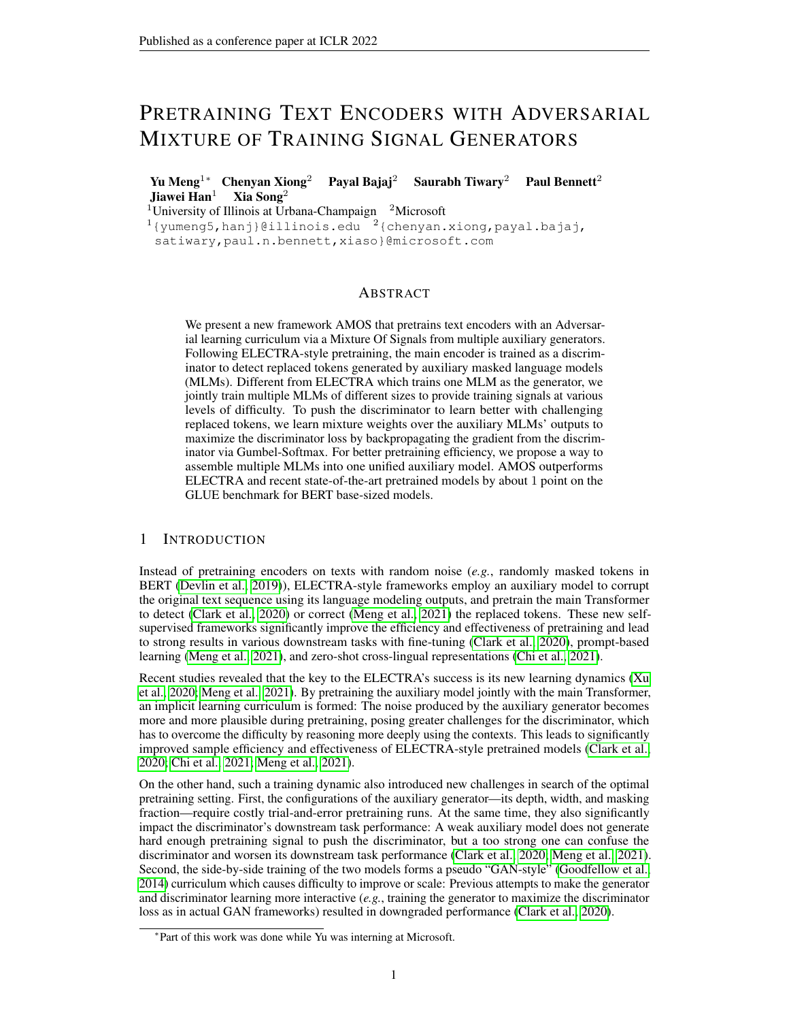Table 1: Results on GLUE and SQuAD 2.0 development set (GLUE test set results can be found in Appendix [D\)](#page-14-0). All results are single-task, single-model fine-tuning. We use Spearman correlation for STS, Matthews correlation for CoLA, and accuracy for the rest on GLUE. AVG is the average of the eight tasks on GLUE. All baseline results are reported by previous research. Results not available in public reports are marked as "–".

<span id="page-6-1"></span>

| Model                                                                            | Params | <b>GLUE DEV Single Task</b> |                          |          |                          |      |                          |                          |                          | <b>SOuAD 2.0</b> |                          |                          |
|----------------------------------------------------------------------------------|--------|-----------------------------|--------------------------|----------|--------------------------|------|--------------------------|--------------------------|--------------------------|------------------|--------------------------|--------------------------|
|                                                                                  |        | <b>MNLI</b>                 | <b>QQP</b>               | QNLI     | SST <sub>2</sub>         | CoLA | <b>RTE</b>               | <b>MRPC</b>              | <b>STS-B</b>             | AVG              | EM                       | F1                       |
| <b>Base Setting: BERT Base Size, Wikipedia + Book Corpus (16GB)</b>              |        |                             |                          |          |                          |      |                          |                          |                          |                  |                          |                          |
| BERT (Devlin et al., 2019)                                                       | 110M   | $84.5/-$                    | 91.3                     | 91.7     | 93.2                     | 58.9 | 68.6                     | 87.3                     | 89.5                     | 83.1             | 73.7                     | 76.3                     |
| RoBERTa (Liu et al., 2019)                                                       | 110M   | 85.8/85.5                   | 91.3                     | 92.0     | 93.7                     | 60.1 | 68.2                     | 87.3                     | 88.5                     | 83.3             | 77.7                     | 80.5                     |
| XLNet (Yang et al., 2019)                                                        | 110M   | 85.8/85.4                   | $\overline{\phantom{0}}$ |          | 92.7                     | -    | $\overline{\phantom{0}}$ |                          |                          | -                | 78.5                     | 81.3                     |
| DeBERTa (He et al., 2021)                                                        | 134M   | 86.3/86.2                   | $\overline{\phantom{0}}$ | $\equiv$ | $\overline{\phantom{0}}$ | -    | $\overline{\phantom{0}}$ |                          | $\overline{\phantom{a}}$ | -                | 79.3                     | 82.5                     |
| TUPE (Ke et al., 2020)                                                           | 110M   | 86.2/86.2                   | 91.3                     | 92.2     | 93.3                     | 63.6 | 73.6                     | 89.9                     | 89.2                     | 84.9             | $\overline{\phantom{0}}$ |                          |
| ELECTRA (Clark et al., 2020)                                                     | 110M   | 86.9/86.7                   | 91.9                     | 92.6     | 93.6                     | 66.2 | 75.1                     | 88.2                     | 89.7                     | 85.5             | 79.7                     | 82.6                     |
| +HP <sub>Loss</sub> +Focal (Hao et al., 2021)                                    | 110M   | 87.0/86.9                   | 92.7                     | 91.7     | 92.6                     | 66.7 | 90.7                     | 81.3                     | 91.0                     | 86.7             | 83.0                     | 85.6                     |
| $MC-BERT$ (Xu et al., 2020)                                                      | 110M   | 85.7/85.2                   | 89.7                     | 91.3     | 92.3                     | 62.1 | 75.0                     | 86.0                     | 88.0                     | 83.7             | $\overline{\phantom{0}}$ |                          |
| COCO-LM (Meng et al., 2021)                                                      | 110M   | 88.5/88.3                   | 92.0                     | 93.1     | 93.2                     | 63.9 | 84.8                     | 91.4                     | 90.3                     | 87.2             | 82.4                     | 85.2                     |
| <b>AMOS</b>                                                                      | 110M   | 88.9/88.7                   | 92.3                     | 93.6     | 94.2                     | 70.7 | 86.6                     | 90.9                     | 91.6                     | 88.6             | 84.2                     | 87.2                     |
| Base++ Setting: BERT Base Size, Bigger Training Data, and/or More Training Steps |        |                             |                          |          |                          |      |                          |                          |                          |                  |                          |                          |
| XLNet (Yang et al., 2019)                                                        | 110M   | $86.8/-$                    | 91.4                     | 91.7     | 94.7                     | 60.2 | 74.0                     | 88.2                     | 89.5                     | 84.6             | 80.2                     | $\overline{\phantom{a}}$ |
| RoBERTa (Liu et al., 2019)                                                       | 125M   | $87.6/-$                    | 91.9                     | 92.8     | 94.8                     | 63.6 | 78.7                     | 90.2                     | 91.2                     | 86.4             | 80.5                     | 83.7                     |
| UniLM V2 (Bao et al., 2020)                                                      | 110M   | $88.5/-$                    | 91.7                     | 93.5     | 95.1                     | 65.2 | 81.3                     | 91.8                     | 91.0                     | 87.1             | 83.3                     | 86.1                     |
| DeBERTa (He et al., 2021)                                                        | 134M   | 88.8/88.5                   | -                        | -        | -                        | -    | -                        | $\overline{\phantom{a}}$ | $\overline{\phantom{a}}$ | -                | 83.1                     | 86.2                     |
| CLEAR (Wu et al., 2020)                                                          | 110M   | $86.7/-$                    | 90.0                     | 92.9     | 94.5                     | 64.3 | 78.3                     | 89.2                     | 89.8                     | 85.7             | $\overline{\phantom{0}}$ |                          |
| COCO-LM (Meng et al., 2021)                                                      | 134M   | 90.2/90.0                   | 92.2                     | 94.2     | 94.6                     | 67.3 | 87.4                     | 91.2                     | 91.8                     | 88.6             | 85.4                     | 88.1                     |
| AMOS                                                                             | 134M   | 90.5/90.4                   | 92.4                     | 94.4     | 95.5                     | 71.8 | 86.6                     | 91.7                     | 92.0                     | 89.4             | 85.0                     | 87.9                     |

protocols: Single task learning with vanilla fine-tuning and reporting the median of five random seeds in GLUE and SQuAD. Please refer to Appendix [A](#page-12-1) for more details.

Baselines. We compare with various pretrained models in both settings. All numbers are from reported results in recent research (more details in Appendix [J\)](#page-16-0).

Implementation Details. Our implementation builds upon the open-source implementation of fairseq [Ott et al.](#page-10-16) [\(2019\)](#page-10-16). Standard hyperparameters in pretraining and fine-tuning are used. More details are listed in Appendix [B.](#page-12-2)

# <span id="page-6-0"></span>5 EVALUATION RESULTS

We conduct three groups of experiments to evaluate the performance of AMOS, the effect of leveraging signals from multiple generators, and the influence of its adversarial training. We also provide some case studies on the constructed pretraining sequences in AMOS.

### 5.1 RESULTS AND ABLATIONS ON GLUE AND SOUAD

GLUE and SQuAD Results. Table [1](#page-6-1) lists the single-task fine-tuning performance of AMOS and notable baselines that are pretrained under the standard *base* and *base++* setting. AMOS outperforms all previous state-of-the-art pretraining methods on the overall GLUE score and SQuAD. AMOS's improvements are robust, often of large margins, and achieves the new state-of-the-art on multiple tasks under this standard pretraining/fine-tuning setup.

Table [2](#page-7-0) presents the ablation studies of AMOS variants on MNLI and SQuAD, the two most stable and representative downstream evaluations (Refer to Appendix [E](#page-14-1) for the full results). We organize the ablations into four subgroups to study the effectiveness of *Curriculum Learning*, *Adversarial Training*, *Multi-Layer MLM*, and *Training Signal Diversity* in AMOS.

Effect of Curriculum Setup. Disabling the automatic mixture weights learning in AMOS leads to downgraded downstream performance: Randomly picking the MLM head from the same set of generator layers (*w. random layer*) reduces accuracy on all metrics. It increases the diversity of pretraining signals but does not configure then as effectively. Manually configuring the order of different sets of pretraining signals by manually switching from shallower to deeper layers (*i.e.*, 4 to 6 to 8) during pretraining (*w. layer switch*) does not lead to better results than random layer selection. Note that in these manual configurations we manually switch the signals at  $1=3$  and  $2=3$  of the total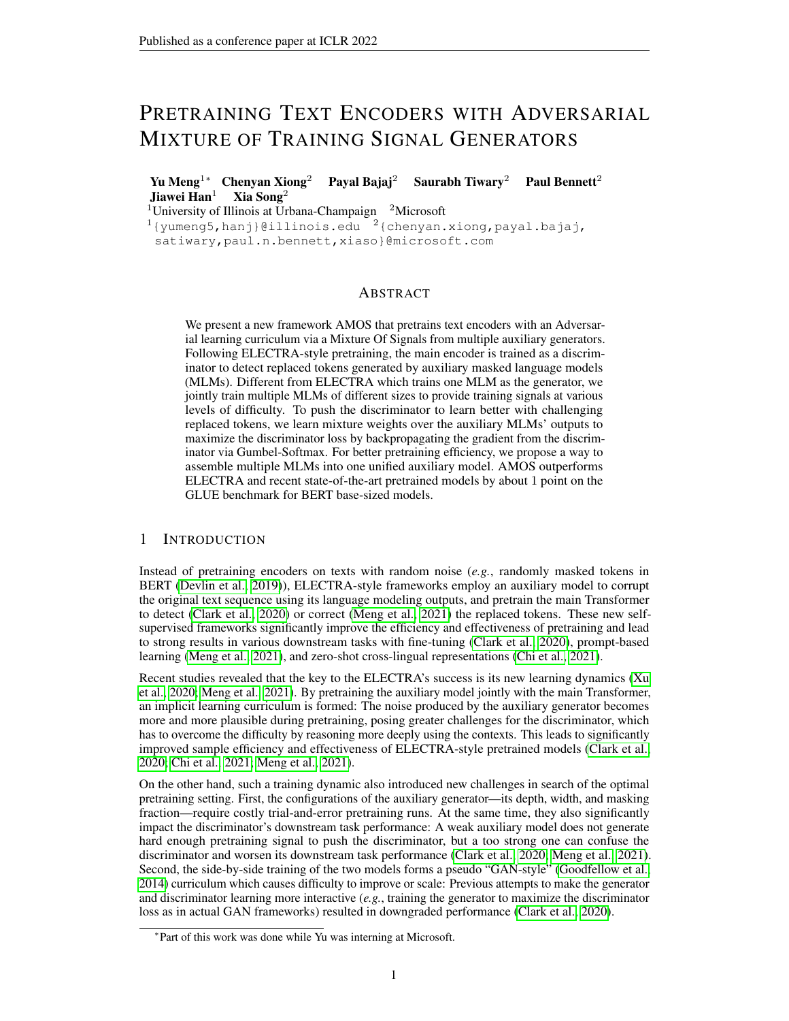|                                                    |                                                               |                                                          |                                                          | tic depths in Tenney et al. (2019a).    |                      |                      |                      |
|----------------------------------------------------|---------------------------------------------------------------|----------------------------------------------------------|----------------------------------------------------------|-----------------------------------------|----------------------|----------------------|----------------------|
| Group                                              | <b>Method</b>                                                 | <b>MNLI</b><br>(m/mm)                                    | SOuAD 2.0<br>EM/F1                                       |                                         |                      |                      |                      |
|                                                    | AMOS <sub>Base</sub>                                          | 88.9/88.7                                                | 84.2/87.2                                                | <b>Tasks</b>                            | layer 4              | layer 6              | layer 8              |
| Curriculum<br><b>Setup</b>                         | w. random layer<br>w. layer switch                            | $-0.3/-0.4$<br>$-0.3/-0.3$                               | $-0.6/-0.6$<br>$-0.9/-1.0$                               | <b>POS</b>                              | 92.6<br>69.7         | 93.4<br>73.2         | 91.2<br>73.0         |
| <b>Adversarial</b><br><b>Setup</b>                 | - adv. train<br>$+$ adv. MLM                                  | $-0.2/-0.2$<br>$-0.3/0.0$                                | $-0.3/-0.4$<br>0.0/0.0                                   | Consts.<br>Deps.                        | 86.4                 | 85.1                 | 88.3                 |
| Multi-MLM<br><b>Setup</b>                          | - stop grad.<br>w. separate MLM gen.                          | $-0.5/-0.1$<br>$-0.1/0.0$                                | $-0.6/-0.6$<br>$-0.8/-0.7$                               | Entities<br><b>SRL</b>                  | 91.7<br>76.9         | 93.9<br>74.2         | 93.9<br>79.2         |
| <b>Backbone</b><br>(No Multi-MLM<br>No Adv. Train) | 4-layer gen.<br>6-layer gen.<br>8-layer gen.<br>12-layer gen. | $-0.5/-0.5$<br>$-0.3/-0.4$<br>$-0.6/-0.6$<br>$-1.1/-1.2$ | $-1.1/-1.2$<br>$-1.1/-1.1$<br>$-0.9/-0.9$<br>$-1.8/-1.7$ | Coref.<br>SPR <sub>2</sub><br>Relations | 77.6<br>79.4<br>72.2 | 75.5<br>79.0<br>76.3 | 77.9<br>79.9<br>73.9 |

ent MLM layers from the AMOS generator. Tasks are ordered based on suggested seman-

<span id="page-7-0"></span>Table 2: Ablations on MNLI/SQuAD 2.0 dev sets that Table 3: Edge probing results using differremove (-), add (+) or switch (w.) one component. Values are differences (in absolute points) from AMOS<sub>Base</sub>.

pretraining steps. We have experimented switching at different steps of pretraining but do not observe significantly better results. Manual trials are tedious and expensive in pretraining and underperform automatically learned mixture over multiple training signals.

Effect of Adversarial Setup. Not performing adversarial learning (*- adv. train*) to learn mixture weights (*i.e.*, always use unweighted average signals) hurts the model performance. However, note that this ablation still benefits from the curriculum learning effect as the generator gradually learns better. In addition, we also try to backpropagate the adversarial gradient to update the MLM embeddings (+ *adv. MLM*). Specifically, in Eqn. [\(3\)](#page-5-1), both  $\int_{i}^{(d)}$  and  $h_i^{(d)}$  are updated by the reversed gradient from the discriminator. Our observation is that this makes the training unstable, perhaps because it hinders the MLM task of the auxiliary model. We have to use a very small gradient multiplier (*e.g.*, 0:1) when updating the MLM embeddings with the discriminator's backpropagated gradient, which has minimal effects on the model.

Effect of Multi-Layer Generator Setup. We also experimented with several configurations of the multi-layer generators: *-stop grad.* does not stop the gradient at the 4th and 6th layers in the generator of AMOS; *w. separate MLM gen.* trains three separate generators of 4, 6 and 8 layers jointly with the discriminator. Both configurations result in reduced performance of the discriminator and we keep the simpler setup as in AMOS. Additional experiments on using different numbers of MLM heads can be found in Appendix [F.](#page-15-0)

Effect of Diverse Training Signals. The last ablation compares with using a single generator in AMOS and without any learned mixtures. Using a 4/6/8-layer generator yields worse results than AMOS and previous ablations with the multi-MLM generator, especially on SQuAD. The 12-layer generator is too strong and makes the pretrained discriminator significantly worse. It is simpler and more effective to grant the model access to a broader set of training signals and automatically learn to leverage them.

**Pretraining Efficiency.** Pretraining efficiency study of AMOS and comparison with previous models can be found in Appendix [C.](#page-13-0)

#### <span id="page-7-1"></span>5.2 DIVERSE PRETRAINING SIGNALS FROM DIFFERENT GENERATORS

To study how generators of different depths provide diverse pretraining signals, we conduct probing experiments on eight NLP tasks covering different linguistic aspects, following [\(Tenney et al., 2019a;](#page-11-3)[b\)](#page-11-4): part-of-speech (POS) [\(Weischedel et al., 2013\)](#page-11-9), constituents (Consts.), dependencies (Deps.), entities, semantic role labeling (SRL), coreference (Coref.), semantic proto-roles (SPR2 [\(Rudinger et al.,](#page-11-10) [2018\)](#page-11-10)), and relation classification (SemEval [\(Hendrickx et al., 2010\)](#page-10-17)). The major difference between our setting and [Tenney et al.](#page-11-3) [\(2019a](#page-11-3)[;b\)](#page-11-4) is that we do not combine embeddings from multiple layers but directly use the embedding from each MLM layer of AMOS generator as the (frozen) feature to a trainable linear classifier, as we are interested in what information is captured by each MLM layer.

As shown in Table [3,](#page-7-0) different MLM layers in AMOS generator indeed are good at different tasks–The 6th layer in the generator has the best performance on POS, constituent labeling, entity recognition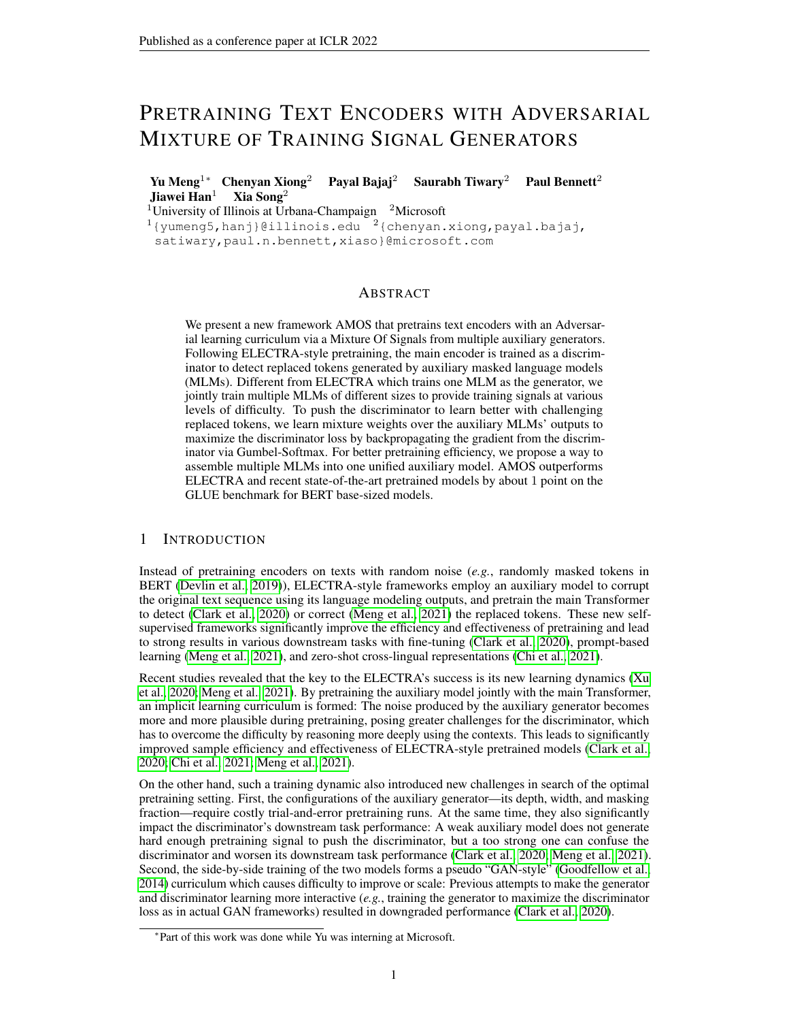and relation classification, while the 8th layer performs the best on the other tasks. This demonstrates that using different layers in the multi-layer MLM generator is helpful for creating training signals of different levels of difficulty and also emphasizing different linguistic aspects. Note that although the 4th layer has worse performance than deeper layers across all tasks, it is still useful for providing discriminator pretraining signals, because the discriminator needs to learn from the "mistakes" made by the generator not capturing certain language semantics. Some concrete case studies of replaced tokens generated by different generator layers can be found in Appendix [I.](#page-16-1)

#### 5.3 EFFECTS OF ADVERSARIAL TRAINING

To better understand the adversarial training dynamics, we plot the mixture weights (averaged over all masked positions) assigned to the 4th/6th/8th layer MLM during pretraining in Figure [3a.](#page-8-0) In the later pretraining stage, the 8th layer gradually gains more weights with the weights of the other two layers decreasing, showing that the generator indeed tries to create more challenging training signals for the discriminator. We also compare the training process of AMOS with several generator ablations: (1) A 4-layer generator;

<span id="page-8-0"></span>

Figure 3: (a) The average mixture weights of the 4th/6th/8th generator layers on all masked positions during pretraining. (b) The discriminator accuracy on replaced tokens during pretraining under different curriculum learning setups.

(2) An 8-layer generator; (3) A 4/6/8-multi-layer MLM generator with three layers randomly picked for generating MLM replacements (Random Layer); (4) Switching from shallow layers to deeper layers (*i.e.*, 4 to 6 to 8) at 1=3 and 2=3 of the pretraining steps (Layer Switch). We plot the discriminator accuracy (averaged on replaced tokens) in Figure [3b.](#page-8-0) AMOS creates an intuitive learning curriculum that starts simpler than random layer mixing and becomes more challenging as pretraining goes on. Making "hard" switches suddenly changes the task difficulty and may disrupt training.

### 6 CONCLUSIONS AND FUTURE WORK

In this paper we present AMOS, a new strategy for pretraining ELECTRA-style text encoders using an adversarial mixture of multiple training signal generators. AMOS constructs the corrupted text sequences by attaching multiple MLM heads to a deeper generator and sampling replaced tokens from their mixed outputs. The weights of the mixtures are learned to maximize the training signals difficulty for the discriminator, by backpropagating the reversed gradient from the discriminator through Gumbel-Softmax. This upgrades the ELECTRA-style pretraining framework with an automatically learned curriculum that composes more diverse pretraining signals.

Our experiments on the GLUE and SQuAD benchmarks demonstrate the empirical advantages of AMOS. Under the standard  $BERT_{Base}$  and  $RoBERT_{Base++}$  pretraining settings, the same Transformer network pretrained with AMOS achieves the new state-of-the-art in nearly all evaluation metrics, with around 1 point gains on GLUE score and SQuAD accuracy. Our studies and analyses further confirm the source of AMOS's effectiveness: The more diverse training signals from multiple generators and our adversarial learning design to effectively utilize them throughout pretraining.

Our observations can be viewed as another progress of "data-centric" AI—Effectively constructed training signals from data can lead to significant empirical improvements without changing the model itself. Future work along this direction includes but not limited to: More studies to understand the role of training signals in language model pretraining, explorations of a broader set of training signal sources, and better strategies to leverage different information sources in pretraining.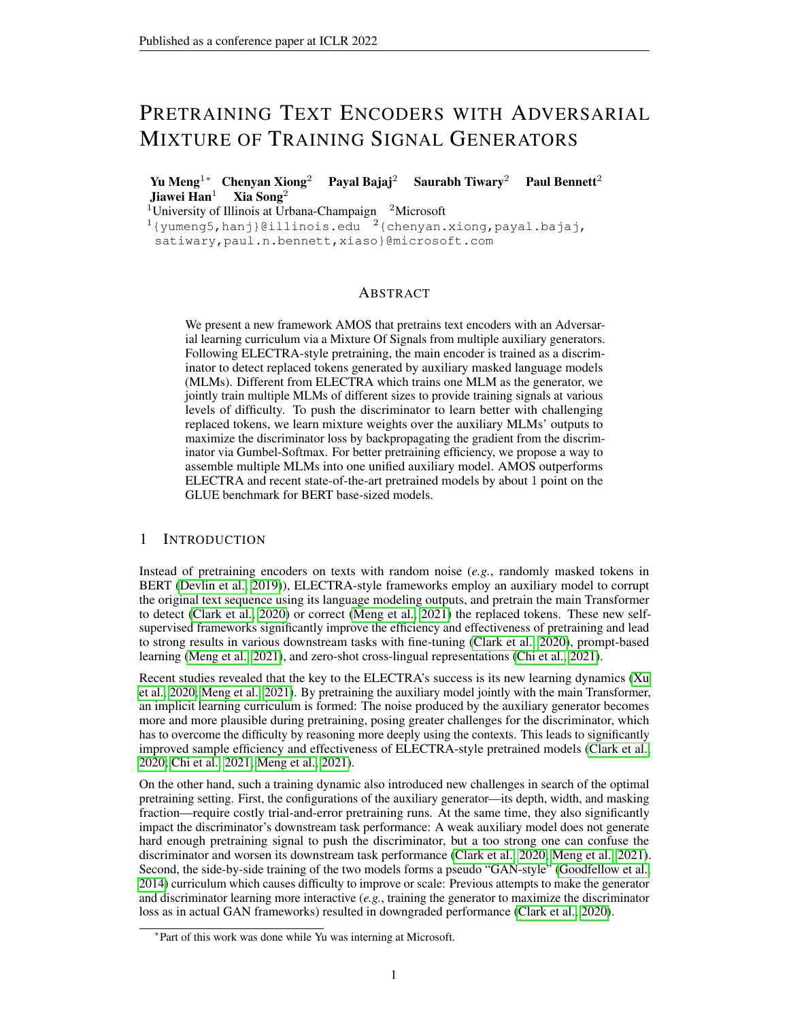# REPRODUCIBILITY STATEMENT

We strive to facilitate the reproducibility of the reported results in this paper, by (1) using the same pretraining and fine-tuning setups with previous research and reporting the median results of multiple fine-tuning runs, (2) providing details about the datasets used in Appendix [A,](#page-12-1) sources of baselines compared in Appendix [J,](#page-16-0) and hyperparameters used in Appendix [B,](#page-12-2) (3) reporting the exact pretraining hours of our base models in Appendix [C,](#page-13-0) and  $(4)$  releasing our pretrained models. All experiments in this paper are conducted on 64 A100 GPUs each with 40GB memory size.

#### **REFERENCES**

- <span id="page-9-9"></span>Hangbo Bao, Li Dong, Furu Wei, Wenhui Wang, Nan Yang, Xiaodong Liu, Yu Wang, Songhao Piao, Jianfeng Gao, Ming Zhou, and Hsiao-Wuen Hon. UniLMv2: Pseudo-masked language models for unified language model pre-training. In *ICML*, 2020.
- <span id="page-9-5"></span>Yoshua Bengio, Jérôme Louradour, Ronan Collobert, and Jason Weston. Curriculum learning. In *ICML*, 2009.
- <span id="page-9-12"></span>Luisa Bentivogli, Peter Clark, Ido Dagan, and Danilo Giampiccolo. The fifth PASCAL recognizing textual entailment challenge. In *TAC*, 2009.
- <span id="page-9-6"></span>Massimo Caccia, Lucas Caccia, William Fedus, Hugo Larochelle, Joelle Pineau, and Laurent Charlin. Language GANs falling short. In *ICLR*, 2020.
- <span id="page-9-14"></span>Daniel Cer, Mona Diab, Eneko Agirre, Iñigo Lopez-Gazpio, and Lucia Specia. Semeval-2017 task 1: Semantic textual similarity multilingual and crosslingual focused evaluation. In *International Workshop on Semantic Evaluation*, 2017.
- <span id="page-9-2"></span>Zewen Chi, Shaohan Huang, Li Dong, Shuming Ma, Saksham Singhal, Payal Bajaj, Xia Song, and Furu Wei. XLM-E: Cross-lingual language model pre-training via ELECTRA. *arXiv preprint arXiv:2106.16138*, 2021.
- <span id="page-9-1"></span>Kevin Clark, Minh-Thang Luong, Quoc V Le, and Christopher D Manning. ELECTRA: Pre-training text encoders as discriminators rather than generators. In *ICLR*, 2020.
- <span id="page-9-10"></span>Ido Dagan, Oren Glickman, and Bernardo Magnini. The PASCAL recognising textual entailment challenge. In *Machine Learning Challenges Workshop*, 2005.
- <span id="page-9-0"></span>Jacob Devlin, Ming-Wei Chang, Kenton Lee, and Kristina Toutanova. BERT: Pre-training of deep bidirectional transformers for language understanding. In *NAACL-HLT*, 2019.
- <span id="page-9-13"></span>William B Dolan and Chris Brockett. Automatically constructing a corpus of sentential paraphrases. In *International Workshop on Paraphrasing (IWP)*, 2005.
- <span id="page-9-4"></span>Li Dong, Nan Yang, Wenhui Wang, Furu Wei, Xiaodong Liu, Yu Wang, Jianfeng Gao, Ming Zhou, and Hsiao-Wuen Hon. Unified language model pre-training for natural language understanding and generation. In *NeurIPS*, 2019.
- <span id="page-9-7"></span>Yaroslav Ganin, Evgeniya Ustinova, Hana Ajakan, Pascal Germain, Hugo Larochelle, François Laviolette, Mario Marchand, and Victor Lempitsky. Domain-adversarial training of neural networks. *JMLR*, 2016.
- <span id="page-9-11"></span>Danilo Giampiccolo, Bernardo Magnini, Ido Dagan, and Bill Dolan. The third PASCAL recognizing textual entailment challenge. In *ACL-PASCAL workshop on textual entailment and paraphrasing*, 2007.
- <span id="page-9-8"></span>Aaron Gokaslan and Vanya Cohen. Openwebtext corpus. [http://Skylion007.github.io/](http://Skylion007.github.io/OpenWebTextCorpus) [OpenWebTextCorpus](http://Skylion007.github.io/OpenWebTextCorpus), 2019.
- <span id="page-9-3"></span>Ian Goodfellow, Jean Pouget-Abadie, Mehdi Mirza, Bing Xu, David Warde-Farley, Sherjil Ozair, Aaron Courville, and Yoshua Bengio. Generative adversarial nets. In *NIPS*, 2014.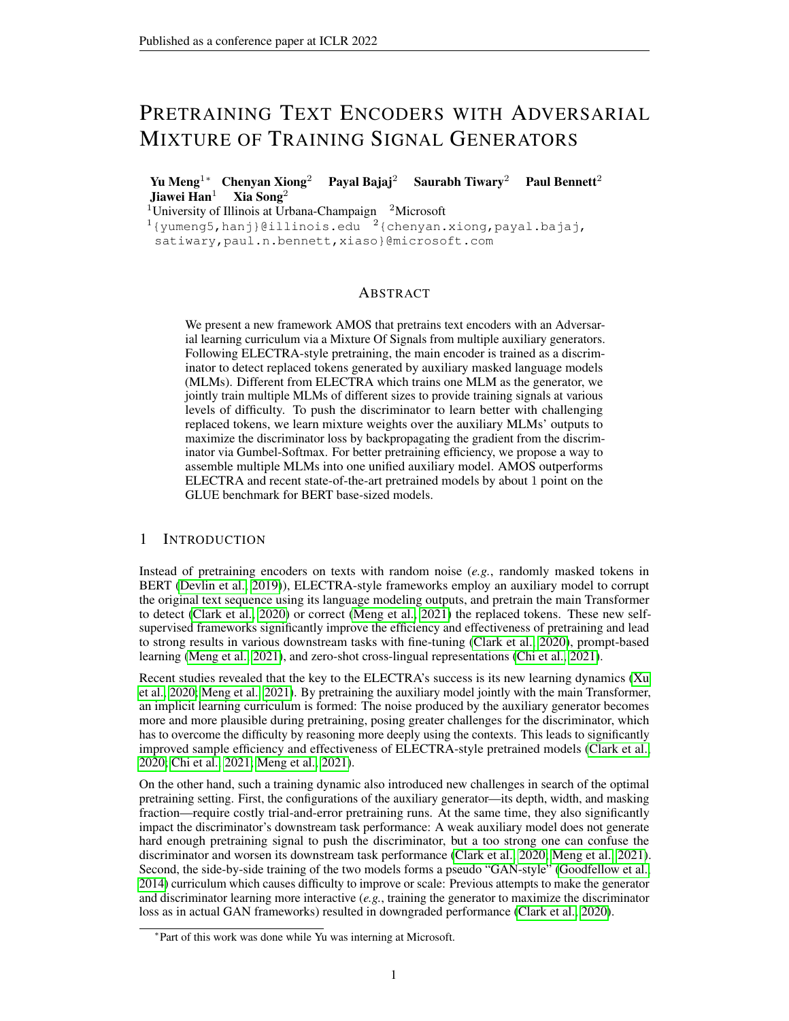- <span id="page-10-10"></span>Alex Graves, Marc G Bellemare, Jacob Menick, Remi Munos, and Koray Kavukcuoglu. Automated curriculum learning for neural networks. In *ICML*, 2017.
- <span id="page-10-3"></span>Kelvin Guu, Kenton Lee, Zora Tung, Panupong Pasupat, and Ming-Wei Chang. REALM: Retrievalaugmented language model pre-training. In *ICML*, 2020.
- <span id="page-10-9"></span>Guy Hacohen and Daphna Weinshall. On the power of curriculum learning in training deep networks. In *ICML*, 2019.
- <span id="page-10-18"></span>R Bar Haim, Ido Dagan, Bill Dolan, Lisa Ferro, Danilo Giampiccolo, Bernardo Magnini, and Idan Szpektor. The second PASCAL recognising textual entailment challenge. In *PASCAL Challenges Workshop on Recognising Textual Entailment*, 2006.
- <span id="page-10-7"></span>Yaru Hao, Li Dong, Hangbo Bao, Ke Xu, and Furu Wei. Learning to sample replacements for ELECTRA pre-training. In *Findings of ACL*, 2021.
- <span id="page-10-15"></span>Pengcheng He, Xiaodong Liu, Jianfeng Gao, and Weizhu Chen. DeBERTa: Decoding-enhanced bert with disentangled attention. In *ICLR*, 2021.
- <span id="page-10-17"></span>Iris Hendrickx, Su Nam Kim, Zornitsa Kozareva, Preslav Nakov, Diarmuid O Séaghdha, Sebastian Padó, Marco Pennacchiotti, Lorenza Romano, and Stan Szpakowicz. Semeval-2010 task 8: Multiway classification of semantic relations between pairs of nominals. In *International Workshop on Semantic Evaluation*, 2010.
- <span id="page-10-11"></span>Eric Jang, Shixiang Gu, and Ben Poole. Categorical reparameterization with Gumbel-Softmax. In *ICLR*, 2017.
- <span id="page-10-4"></span>Robin Jia, Mike Lewis, and Luke Zettlemoyer. Question answering infused pre-training of generalpurpose contextualized representations. *arXiv preprint arXiv:2106.08190*, 2021.
- <span id="page-10-12"></span>Guolin Ke, Di He, and Tie-Yan Liu. Rethinking the positional encoding in language pre-training. *arXiv preprint arXiv:2006.15595*, 2020.
- <span id="page-10-6"></span>Mike Lewis, Yinhan Liu, Naman Goyal, Marjan Ghazvininejad, Abdelrahman Mohamed, Omer Levy, Ves Stoyanov, and Luke Zettlemoyer. BART: Denoising sequence-to-sequence pre-training for natural language generation, translation, and comprehension. In *ACL*, 2019.
- <span id="page-10-8"></span>Tsung-Yi Lin, Priya Goyal, Ross Girshick, Kaiming He, and Piotr Dollár. Focal loss for dense object detection. In *ICCV*, 2017.
- <span id="page-10-13"></span>Yinhan Liu, Myle Ott, Naman Goyal, Jingfei Du, Mandar Joshi, Danqi Chen, Omer Levy, Mike Lewis, Luke Zettlemoyer, and Veselin Stoyanov. RoBERTa: A Robustly Optimized BERT Pretraining Approach. *arXiv preprint arXiv:1907.11692*, 2019.
- <span id="page-10-5"></span>Shuqi Lu, Di He, Chenyan Xiong, Guolin Ke, Waleed Malik, Zhicheng Dou, Paul Bennett, Tie-Yan Liu, and Arnold Overwijk. Less is more: Pretrain a strong siamese encoder for dense text retrieval using a weak decoder. In *EMNLP*, 2021.
- <span id="page-10-0"></span>Yu Meng, Chenyan Xiong, Payal Bajaj, Saurabh Tiwary, Paul Bennett, Jiawei Han, and Xia Song. COCO-LM: Correcting and contrasting text sequences for language model pretraining. In *NeurIPS*, 2021.
- <span id="page-10-16"></span>Myle Ott, Sergey Edunov, Alexei Baevski, Angela Fan, Sam Gross, Nathan Ng, David Grangier, and Michael Auli. FAIRSEQ: A fast, extensible toolkit for sequence modeling. In *NAACL-HLT Demonstrations*, 2019.
- <span id="page-10-1"></span>Alec Radford, Jeffrey Wu, Rewon Child, David Luan, Dario Amodei, and Ilya Sutskever. Language models are unsupervised multitask learners. *OpenAI blog*, 1(8):9, 2019.
- <span id="page-10-2"></span>Colin Raffel, Noam Shazeer, Adam Roberts, Katherine Lee, Sharan Narang, Michael Matena, Yanqi Zhou, Wei Li, and Peter J Liu. Exploring the limits of transfer learning with a unified text-to-text transformer. *Journal of Machine Learning Research*, 2019.
- <span id="page-10-14"></span>Pranav Rajpurkar, Jian Zhang, Konstantin Lopyrev, and Percy Liang. SQuAD: 100,000+ questions for machine comprehension of text. In *EMNLP*, 2016.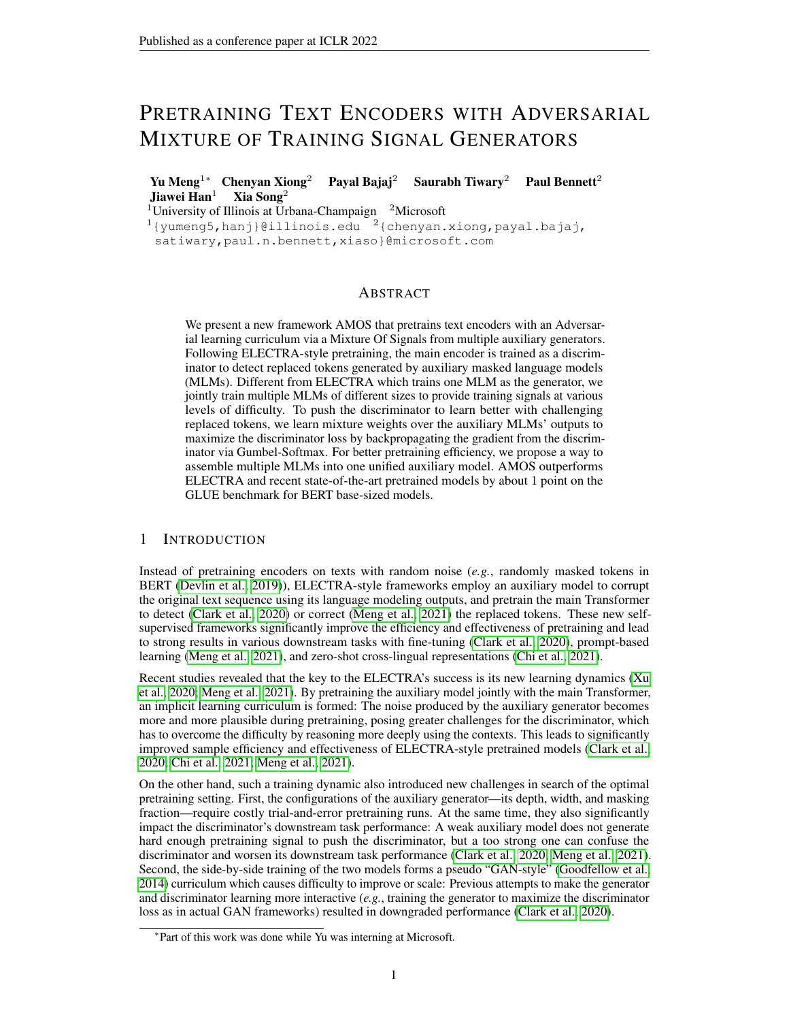- <span id="page-11-2"></span>Adam Roberts, Colin Raffel, and Noam Shazeer. How much knowledge can you pack into the parameters of a language model? In *EMNLP*, 2020.
- <span id="page-11-10"></span>Rachel Rudinger, Adam Teichert, Ryan Culkin, Sheng Zhang, and Benjamin Van Durme. Neuraldavidsonian semantic proto-role labeling. In *EMNLP*, 2018.
- <span id="page-11-15"></span>Thibault Sellam, Steve Yadlowsky, Jason Wei, Naomi Saphra, Alexander D'Amour, Tal Linzen, Jasmijn Bastings, Iulia Turc, Jacob Eisenstein, Dipanjan Das, et al. The MultiBERTs: BERT reproductions for robustness analysis. In *ICLR*, 2022.
- <span id="page-11-5"></span>Rico Sennrich, Barry Haddow, and Alexandra Birch. Neural machine translation of rare words with subword units. In *ACL*, 2015.
- <span id="page-11-12"></span>Iyer Shankar, Dandekar Nikhil, and Csernai Kornél. First Quora dataset release:<br>Question pairs, 2017. URL https://www.quora.com/q/quoradata/ Question pairs, 2017. URL [https://www.quora.com/q/quoradata/](https://www.quora.com/q/quoradata/First-Quora-Dataset-Release-Question-Pairs) [First-Quora-Dataset-Release-Question-Pairs](https://www.quora.com/q/quoradata/First-Quora-Dataset-Release-Question-Pairs).
- <span id="page-11-13"></span>Richard Socher, Alex Perelygin, Jean Wu, Jason Chuang, Christopher D Manning, Andrew Y Ng, and Christopher Potts. Recursive deep models for semantic compositionality over a sentiment treebank. In *EMNLP*, 2013.
- <span id="page-11-17"></span>Sandeep Subramanian, Sai Rajeswar Mudumba, Alessandro Sordoni, Adam Trischler, Aaron C Courville, and Chris Pal. Towards text generation with adversarially learned neural outlines. In *NeurIPS*, 2018.
- <span id="page-11-3"></span>Ian Tenney, Dipanjan Das, and Ellie Pavlick. BERT rediscovers the classical NLP pipeline. In *ACL*, 2019a.
- <span id="page-11-4"></span>Ian Tenney, Patrick Xia, Berlin Chen, Alex Wang, Adam Poliak, R Thomas McCoy, Najoung Kim, Benjamin Van Durme, Samuel R Bowman, Dipanjan Das, et al. What do you learn from context? probing for sentence structure in contextualized word representations. In *ICLR*, 2019b.
- <span id="page-11-6"></span>Trieu H Trinh and Quoc V Le. A simple method for commonsense reasoning. *arXiv preprint arXiv:1806.02847*, 2018.
- <span id="page-11-7"></span>Alex Wang, Amanpreet Singh, Julian Michael, Felix Hill, Omer Levy, and Samuel R Bowman. GLUE: A multi-task benchmark and analysis platform for natural language understanding. In *EMNLP Workshop BlackboxNLP*, 2018.
- <span id="page-11-14"></span>Alex Warstadt, Amanpreet Singh, and Samuel R Bowman. Neural network acceptability judgments. In *TACL*, 2019.
- <span id="page-11-9"></span>Ralph Weischedel, Martha Palmer, Mitchell Marcus, Eduard Hovy, Sameer Pradhan, Lance Ramshaw, Nianwen Xue, Ann Taylor, Jeff Kaufman, Michelle Franchini, et al. Ontonotes release 5.0 ldc2013t19. *Linguistic Data Consortium*, 2013.
- <span id="page-11-11"></span>Adina Williams, Nikita Nangia, and Samuel Bowman. A broad-coverage challenge corpus for sentence understanding through inference. In *NAACL-HLT*, 2018.
- <span id="page-11-8"></span>Zhuofeng Wu, Sinong Wang, Jiatao Gu, Madian Khabsa, Fei Sun, and Hao Ma. CLEAR: Contrastive learning for sentence representation. *arXiv preprint arXiv:2012.15466*, 2020.
- <span id="page-11-0"></span>Zhenhui Xu, Linyuan Gong, Guolin Ke, Di He, Shuxin Zheng, Liwei Wang, Jiang Bian, and Tie-Yan Liu. MC-BERT: Efficient language pre-training via a meta controller. *arXiv preprint arXiv:2006.05744*, 2020.
- <span id="page-11-1"></span>Zhilin Yang, Zihang Dai, Yiming Yang, Jaime Carbonell, Russ R Salakhutdinov, and Quoc V Le. XLNet: Generalized autoregressive pretraining for language understanding. In *NeurIPS*, 2019.
- <span id="page-11-16"></span>Lantao Yu, Weinan Zhang, Jun Wang, and Yong Yu. SeqGAN: Sequence generative adversarial nets with policy gradient. In *AAAI*, 2017.
- <span id="page-11-18"></span>Yizhe Zhang, Zhe Gan, Kai Fan, Zhi Chen, Ricardo Henao, Dinghan Shen, and Lawrence Carin. Adversarial feature matching for text generation. In *ICML*, 2017.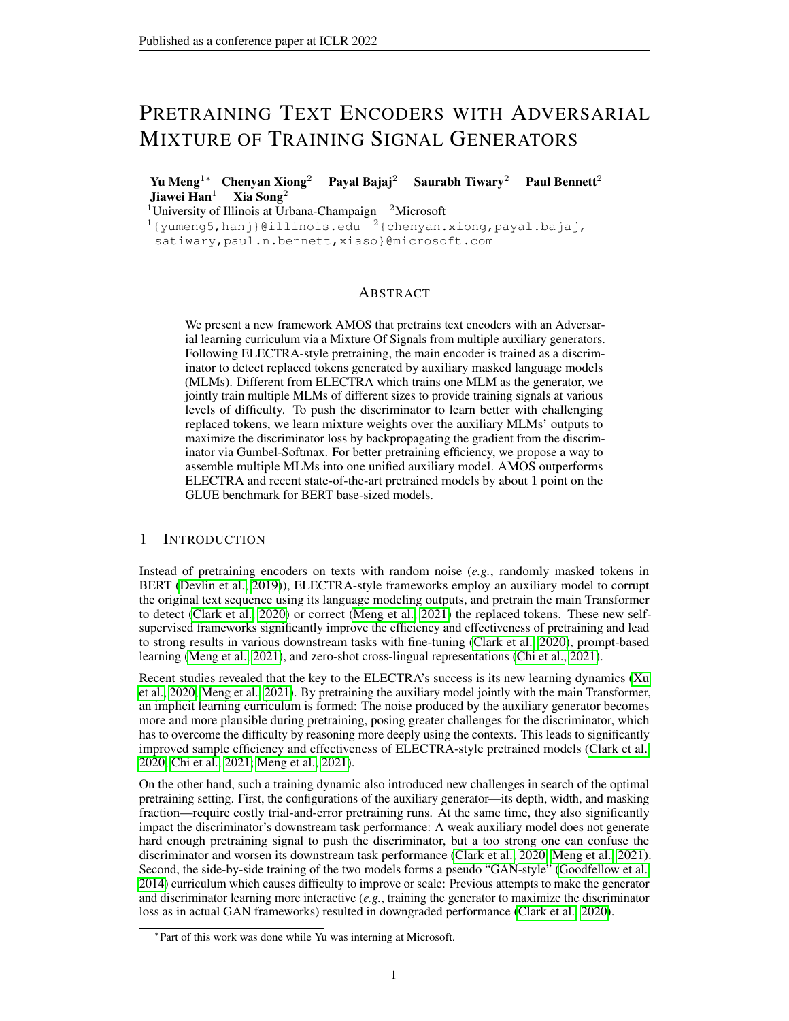<span id="page-12-4"></span>Junbo Zhao, Yoon Kim, Kelly Zhang, Alexander Rush, and Yann LeCun. Adversarially regularized autoencoders. In *ICML*, 2018.

<span id="page-12-0"></span>Yukun Zhu, Ryan Kiros, Rich Zemel, Ruslan Salakhutdinov, Raquel Urtasun, Antonio Torralba, and Sanja Fidler. Aligning books and movies: Towards story-like visual explanations by watching movies and reading books. In *ICCV*, 2015.

# <span id="page-12-3"></span><span id="page-12-1"></span>A DETAILS OF GLUE TASKS

|             | <b>Size</b> | Domain        | Task          | Metric(s)         |
|-------------|-------------|---------------|---------------|-------------------|
| <b>MNLI</b> | 393K        | Misc.         | Inference     | Accuracy          |
| QQP         | 364K        | Social OA     | Similarity    | Accuracy/F1       |
| <b>ONLI</b> | 108K        | Wikipedia     | OA/Inference  | Accuracy          |
| $SST-2$     | 67K         | Movie Reviews | Sentiment     | Accuracy          |
| CoLA        | 8.5K        | Misc.         | Acceptability | Matthews corr.    |
| <b>RTE</b>  | 2.5K        | Misc.         | Inference     | Accuracy          |
| <b>MRPC</b> | 3.7K        | <b>News</b>   | Paraphrase    | Accuracy/F1       |
| STS-B       | 5.7K        | Misc.         | Similarity    | Pearson/Spearman. |

Table 4: GLUE task statistics and information.

Below are detailed descriptions of the tasks included in the GLUE benchmark. The statistics can be found in Table [4.](#page-12-3)

MNLI: Multi-genre Natural Language Inference [\(Williams et al., 2018\)](#page-11-11) has 393K training examples via crowdsourcing. The task is to predict whether a premise sentence entails, contradicts or is neutral to a given hypothesis sentence.

QQP: Question Pairs [\(Shankar et al., 2017\)](#page-11-12) has 364K training examples from the Quora questionanswering website. The task is to determine whether a given pair of questions asked are equivalent semantically.

QNLI: Question Natural Language Inference has 108K training examples collected from the Stanford Question Answering Dataset (SQuAD) [\(Rajpurkar et al., 2016\)](#page-10-14). The task is to predict whether a given sentence includes the answer to a given question sentence.

SST-2: Stanford Sentiment Treebank [\(Socher et al., 2013\)](#page-11-13) has 67K training examples obtained from movie reviews with manually-annotated sentiment scores. The tasks is to determine if the sentence contains positive or negative sentiment.

CoLA: Corpus of Linguistic Acceptability [\(Warstadt et al., 2019\)](#page-11-14) has 8:5K training examples collected from books and journal articles on linguistic theory. The task is to determine whether a sentence is linguistically acceptable or not.

RTE: Recognizing Textual Entailment [\(Dagan et al., 2005;](#page-9-10) [Haim et al., 2006;](#page-10-18) [Giampiccolo et al.,](#page-9-11) [2007;](#page-9-11) [Bentivogli et al., 2009\)](#page-9-12) has 2:5K training examples from textual entailment challenges. The task is to predict whether a premise sentence entails a hypothesis sentence or not.

MRPC: Microsoft Research Paraphrase Corpus [\(Dolan & Brockett, 2005\)](#page-9-13) contains 3:7K training examples from online news sources. The task is to predict whether two sentences are equivalent semantically.

STS-B: Semantic Textual Similarity [\(Cer et al., 2017\)](#page-9-14) contains 5:8K training examples collected from multiple sources with human annotations of sentence pair semantic similarity. The task is to predict how semantically similar two sentences are (with a 1 to 5 scoring scale).

### <span id="page-12-2"></span>B HYPERPARAMETER SETTINGS

We use the default/standard values for most hyperparameters for pretraining: The generator pretraining uses the standard 15% masking ratio. The temperature for Gumbel-Softmax is  $= 0.3$ . The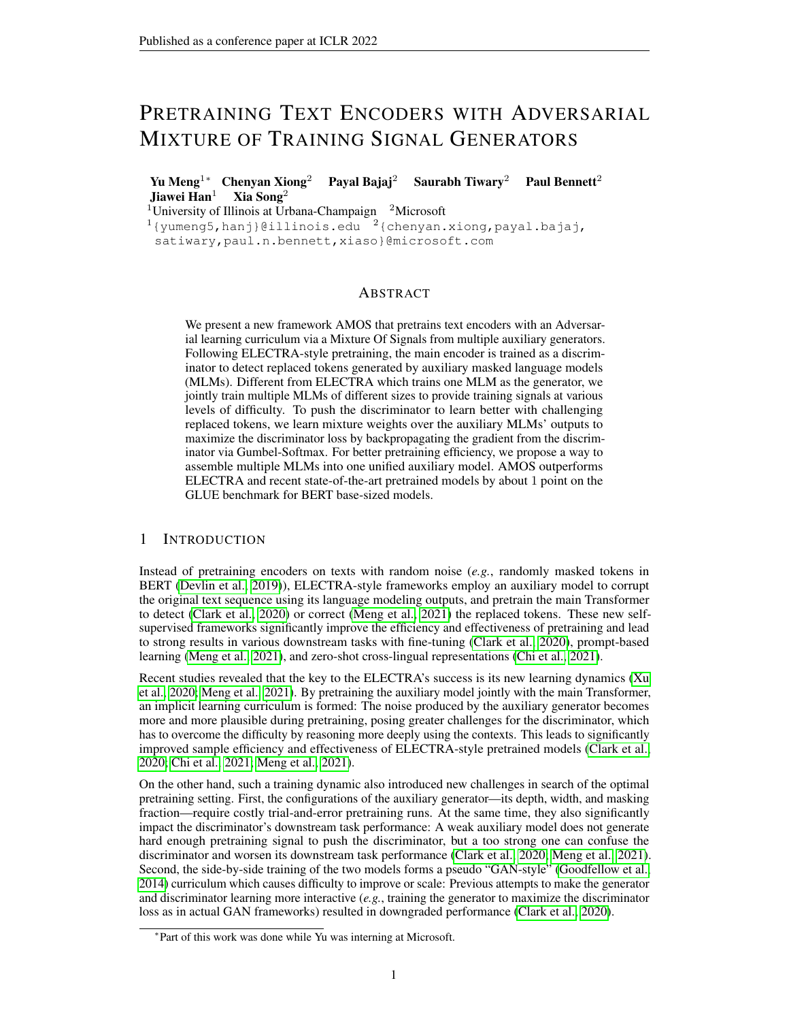| Parameters         | base        | $base++$    |
|--------------------|-------------|-------------|
| Max Steps          | 125K        | 1.95M       |
| Peak Learning Rate | $5e-4$      | $2e-4$      |
| <b>Batch Size</b>  | 2048        | 2048        |
| Warm-up Steps      | 10K         | 10K         |
| Sequence Length    | 512         | 512         |
| Adam               | $1e-6$      | $1e-6$      |
| Adam $(1, 2)$      | (0.9, 0.98) | (0.9, 0.98) |
| Clip Norm          | 2.0         | 2.0         |
| Dropout            | 0.1         | 0.1         |

<span id="page-13-1"></span>Table 5: Hyperparameters used in pretraining.

| Table 6: Hyperparameter ranges searched for fine-tuning. |  |
|----------------------------------------------------------|--|
|----------------------------------------------------------|--|

<span id="page-13-2"></span>

| Parameters                                 | <b>GLUE</b> Fine-tuning          | SOuAD Fine-tuning          |
|--------------------------------------------|----------------------------------|----------------------------|
| Max Epochs                                 | $\{2, 3, 5, 10\}$                | $\{2, 3\}$                 |
| Peak Learning Rate                         | ${1e-5, 2e-5, 3e-5, 4e-5, 5e-5}$ | ${2e-5, 3e-5, 4e-5, 5e-5}$ |
| <b>Batch Size</b>                          | ${16, 32}$                       | ${16, 32}$                 |
| Warm-up Proportion                         | $\{6\%, 10\% \}$                 | $\{6\%, 10\% \}$           |
| Sequence Length                            | 512                              | 512                        |
| Adam                                       | $1e-6$                           | $1e-6$                     |
| Adam $\begin{pmatrix} 1 & 2 \end{pmatrix}$ | (0.9, 0.98)                      | (0.9, 0.98)                |
| Clip Norm                                  |                                  |                            |
| Dropout                                    | 0.1                              | 0.1                        |

discriminator loss weight  $= 50$  since the loss of the binary classification task is much lower than the MLM task, which is a 30; 000-way classification task. The token embeddings are shared between the generator Transformer and the discriminator Transformer. Other hyperparameters used in pretraining and fine-tuning are reported in Tables [5](#page-13-1) and [6,](#page-13-2) respectively.

The same (or equivalent) set of hyperparameters for pretraining and fine-tuning are used for all compared methods. The reported downstream task results on GLUE/SQuAD are the median of five runs with the same set of random seeds.

### <span id="page-13-0"></span>C PRETRAINING EFFICIENCY

We compare the pretraining efficiency of AMOS with COCO-LM [\(Meng et al., 2021\)](#page-10-0), ELEC-TRA [\(Clark et al., 2020\)](#page-9-1) and RoBERTa [\(Liu](#page-10-13) [et al., 2019\)](#page-10-13) under exactly the same computation environment for *base* model training. We show the MNLI-(m/mm) development set accuracy (via standard fine-tuning) of AMOS checkpoints trained for different GPU hours in Figure [4.](#page-13-3) For fair comparisons, we train all compared models using the same codebase, pretraining configuration, and computing environments. While AMOS takes longer to train than RoBERTa and ELECTRA, it matches their final MNLI performance with significantly fewer pretraining hours and achieves much better performance upon convergence. For example, it achieves RoBERTa's MNLI accuracy with two hours of pretraining

<span id="page-13-3"></span>

Figure 4: AMOS<sub>Base</sub> accuracy on MNLI Dev. sets (y-axes) at different pretraining hours on 64 A100 (40 GB Memory) GPUs. The final training hours and accuracy of COCO-LM, ELECTRA and RoBERTa (trained under the exact same settings and computing environments) are also shown.

and outperforms ELECTRA in three hours, more than a 50% reduction in pretraining time. It also reaches the accuracy of COCO-LM, the recent state-of-the-art in both pretraining accuracy and efficiency, only using 60% of COCO-LM's pretraining hours. This demonstrates the advantage of the adversarial curriculum learning of AMOS.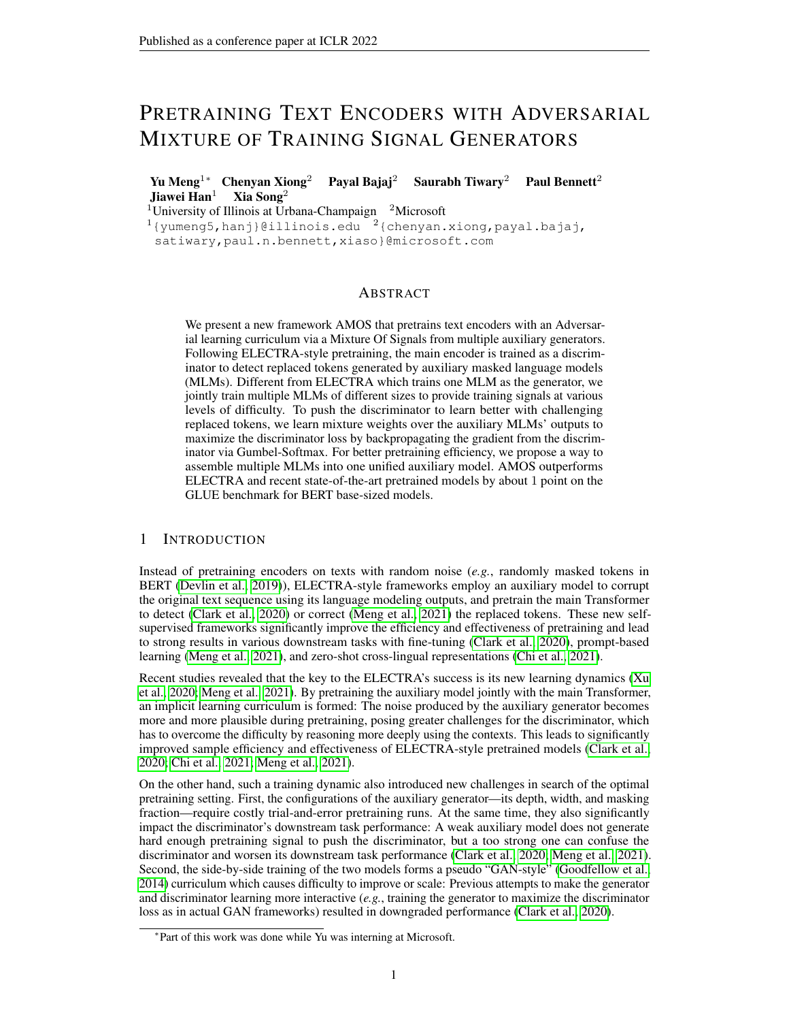<span id="page-14-2"></span>

| Model                  | <b>Params</b> | $MNLI-(m/mm)$ | QQP  | <b>ONLI</b> | $SST-2$ | CoLA | <b>RTE</b> | <b>MRPC</b> | <b>STS-B</b> | AVG  |  |  |
|------------------------|---------------|---------------|------|-------------|---------|------|------------|-------------|--------------|------|--|--|
| <b>Base Setting:</b>   |               |               |      |             |         |      |            |             |              |      |  |  |
| <b>BERT</b>            | 110M          | 84.6/83.4     | 89.2 | 90.5        | 93.5    | 52.1 | 66.4       | 84.8        | 85.8         | 80.8 |  |  |
| <b>ELECTRA</b>         | 110M          | $85.8/-$      | 89.1 | 92.7        | 93.4    | 59.7 | 73.1       | 86.7        | 87.7         | 83.5 |  |  |
| COCO-LM                | 110M          | 88.3/88.1     | 89.9 | 93.3        | 94.9    | 61.9 | 81.5       | 87.8        | 88.6         | 85.8 |  |  |
| <b>AMOS</b>            | 110M          | 88.9/88.1     | 90.0 | 93.6        | 95.3    | 68.7 | 81.1       | 88.5        | 90.2         | 87.0 |  |  |
| <b>Base++ Setting:</b> |               |               |      |             |         |      |            |             |              |      |  |  |
| <b>ELECTRA</b>         | 110M          | 88.5/88.0     | 89.5 | 93.1        | 96.0    | 64.6 | 75.2       | 88.1        | 90.2         | 85.6 |  |  |
| COCO-LM                | 134M          | 89.8/89.3     | 89.8 | 94.2        | 95.6    | 68.6 | 82.3       | 88.5        | 90.3         | 87.4 |  |  |
| <b>AMOS</b>            | 134M          | 90.4/89.9     | 90.2 | 94.6        | 96.8    | 69.2 | 83.6       | 88.9        | 91.3         | 88.1 |  |  |

Table 7: GLUE test set scores obtained from the GLUE leaderboard. We follow the standard in recent research to construct the test predictions: Searching for best hyperparameters with ten random seeds on each task individually and using the best development set model on testing data. All results are from vanilla single-task fine-tuning (no ensemble, task-specific tricks, etc.).

Table 8: Ablations on the development sets of all GLUE tasks and SQuAD 2.0 that eliminate (-), add (+) or switch (w.) one component. We show the median and standard deviation (as subscripts) of five random seeds on each task. The results are extensions of Table [2.](#page-7-0)

<span id="page-14-3"></span>

| Group                                              | Method                                                        | <b>GLUE Single Task</b>                                                                                                |                                                   |                                              |                                                       |                                                  |                                                         |                                                           |                                                    |                                                           | SOuAD <sub>2.0</sub>                          |
|----------------------------------------------------|---------------------------------------------------------------|------------------------------------------------------------------------------------------------------------------------|---------------------------------------------------|----------------------------------------------|-------------------------------------------------------|--------------------------------------------------|---------------------------------------------------------|-----------------------------------------------------------|----------------------------------------------------|-----------------------------------------------------------|-----------------------------------------------|
|                                                    |                                                               | $MNLI-(m/mm)$                                                                                                          | <b>QQP</b>                                        | <b>ONLI</b>                                  | $SST-2$                                               | CoLA                                             | <b>RTE</b>                                              | <b>MRPC</b>                                               | STS-B                                              | EМ                                                        | F1                                            |
|                                                    | AMOS <sub>Base</sub>                                          | $88.9_{\cup 1} = 88.7_{\cup 1}$                                                                                        | $92.3_{0.0}$                                      | $93.6_{0.1}$                                 | 94.202                                                | $70:7_{1.5}$                                     | $86.6_{1.4}$                                            | $90.9_{0.4}$                                              | $91.6_{0.1}$                                       | 84.20.2                                                   | 87.2 <sub>0.3</sub>                           |
| Curriculum<br>Setup                                | w. random layer<br>w. layer switch                            | $88.601 = 88.301$<br>$88.6_{0.1} = 88.4_{0.1}$                                                                         | $92:2^{0.1}$<br>$92:2^{0.1}$                      | 93:20.2<br>$93.0_{0.1}$                      | 93.902<br>$94.0_{0.3}$                                | $70.21 - 6$<br>70.2 <sub>1.0</sub>               | $84.81 \cdot 0$<br>$85.6_{0.9}$                         | $91.40 - 7$<br>$90.91 \cdot 0$                            | 91.8 <sub>0.2</sub><br>$91:6_{0.1}$                | $83.6_{0.2}$<br>$83.30 - 3$                               | 86.602<br>86:20.1                             |
| <b>Adversarial</b><br>Setup                        | - adv. train<br>+ adv. MLM<br>w. final mix weights            | $88:7_0.1 = 88.5_0.1$<br>88.6 <sub>0:1</sub> =88.7 <sub>0:2</sub><br>$88.4_{0.1} = 88.0_{0.1}$                         | $92.30 - 1$<br>$92:2^{0.1}$<br>92:20:1            | 93:20:1<br>93.50.2<br>93.002                 | 94.202<br>$93.80 - 3$<br>93.60.3                      | 71.309<br>71:310<br>70.90.8                      | $87.0$ <sub>1:1</sub><br>85.9 <sub>1.2</sub><br>83.01.0 | 90.90.9<br>91:41.0<br>90.9 <sub>0.5</sub>                 | $91.50 - 1$<br>91.8 <sub>0.1</sub><br>91:30:2      | $83.90 - 1$<br>84.20.2<br>83.50.1                         | 86.80.2<br>$87.2_{0.1}$<br>86:50:1            |
| Multi-MLM<br>Setup                                 | - stop grad.<br>w. separate MLM gen.<br>w. three 4-layer gen. | $88.40 - 88.60 - 1$<br>$88.8_{0.1} = 88.7_{0.2}$<br>$88.60:1 = 88.40:3$                                                | $92.30 - 1$<br>$92.30 - 1$<br>91.90.0             | 93.9002<br>93:20.1<br>92.80.2                | $93.90 - 4$<br>94.002<br>93.91.0                      | $71.1_{1.1}$<br>72.10.8<br>69:71:3               | $87.0_{2:0}$<br>85:21.2<br>83.00.9                      | 91:20.7<br>90:70:6<br>90.91.0                             | $91.6_{0.1}$<br>91:60:1<br>91:20.2                 | $83.6_{0.2}$<br>$83.40 - 3$<br>$83.00 - 3$                | 86.602<br>$86.50 - 3$<br>85.902               |
| <b>Backbone</b><br>(No Multi-MLM<br>No Adv. Train) | 4-layer gen.<br>6-layer gen.<br>8-layer gen.<br>12-layer gen. | $88.40 \cdot 1 = 88.20 \cdot 0$<br>$88.60 \cdot 1 = 88.30 \cdot 1$<br>$88.3_{0.2} = 88.1_{0.1}$<br>$87.80.2 = 87.50.2$ | 92:200<br>92:20:1<br>$92:1_{0:1}$<br>$92:1_{0:1}$ | 93.102<br>93:20.1<br>93.0022<br>$92:7_{0.1}$ | $94.20 - 5$<br>93:20.5<br>$93.50 - 5$<br>$92:7_{0:2}$ | 69:21:1<br>69:21:7<br>$70.01 - 2$<br>$69.30 - 4$ | 84.81.2<br>83:41:1<br>85:210<br>81.6 <sub>0.5</sub>     | 91:20.4<br>90:20:7<br>90:7 <sub>1.0</sub><br>$90.0_{0.7}$ | 91:30.1<br>91:40:2<br>$91:2_{0.1}$<br>$91:4_{0:2}$ | $83.10 - 3$<br>$83.20 - 2$<br>$83.30 - 3$<br>$82:4_{0.2}$ | 86.00.2<br>86:10:2<br>86:30:3<br>$85.5_{0.2}$ |

# <span id="page-14-0"></span>D GLUE TEST SET RESULTS

We show the GLUE test set scores obtained via private submissions to the GLUE leaderboard in Table [7.](#page-14-2) The baseline results are directly retrieved from the leaderboard or from their original papers. We use standard single-task fine-tuning to more directly reflect the improvements from pretrained models. The advantage of AMOS over strong baselines holds on the test set: Under both *base* and *base++* settings, AMOS outperforms ELECTRA [\(Clark et al., 2020\)](#page-9-1) and COCO-LM [\(Meng et al.,](#page-10-0) [2021\)](#page-10-0) on almost every task. Still, we would like to note that smaller tasks such as CoLA, RTE, and MRPC are not stable and leaderboard runs often use more sophisticated fine-tuning method to achieve better performance, for example, continuing training from the checkpoints fine-tuned on MNLI.

# <span id="page-14-1"></span>E MORE DETAILED ABLATION RESULTS

We show more detailed ablation results in Table [8](#page-14-3) which extends Table [2](#page-7-0) by including results from all GLUE tasks and showing the standard deviations. We also include two new ablations: *w. final mix weights* pretrains the discriminator all the way with the fixed mixture weights learned by AMOS at convergence; *w. three 4-layer gen.* trains the discriminator with mixtures over three 4-layer generators instead of the multi-layer MLM generator in AMOS.

AMOS has better performance than all other ablation versions on most large tasks (MNLI, QQP, SST-2 and SQuAD) which are considered more stable and reliable indicators of model effectiveness. Small tasks (CoLA, RTE, MRPC) have much higher variance than larger tasks, and usually require intermediate task training to yield stable results (*i.e.*, starting from checkpoints that are fine-tuned on MNLI [\(Clark et al., 2020;](#page-9-1) [He et al., 2021;](#page-10-15) [Liu et al., 2019\)](#page-10-13)).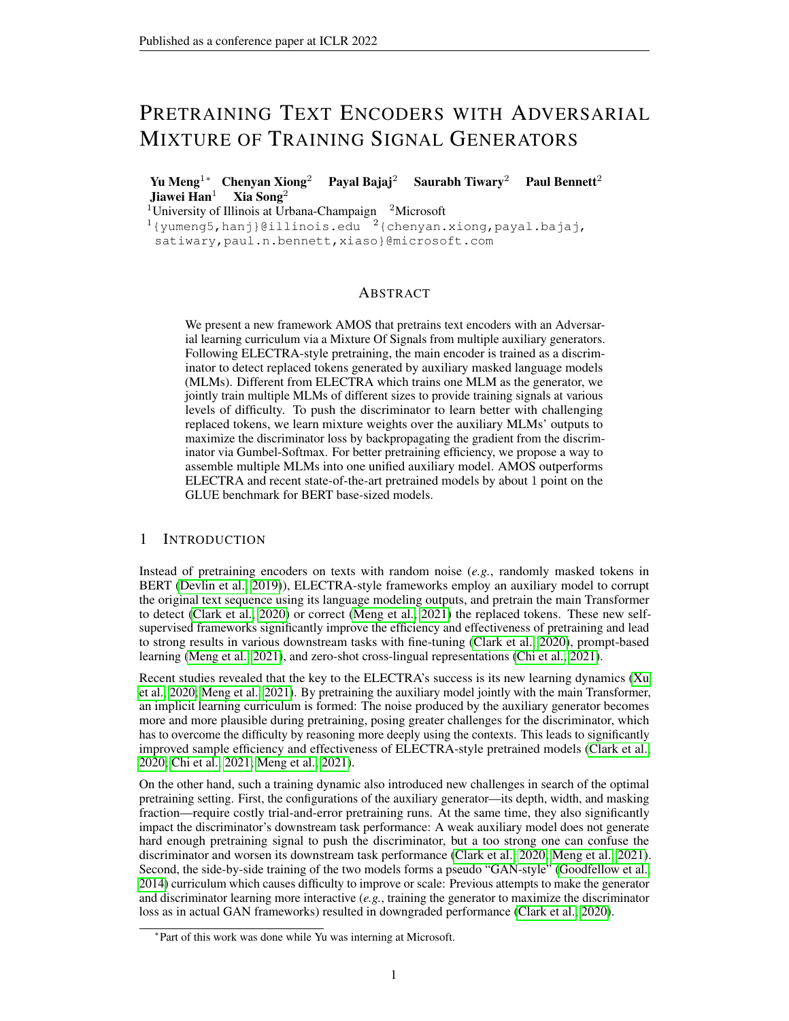<span id="page-15-1"></span>

| <b>MLM Layers</b>                      |                                                               | SOuAD 2.0                         |                                   |                                           |                               |                                               |                                     |                                   |                            |                                  |
|----------------------------------------|---------------------------------------------------------------|-----------------------------------|-----------------------------------|-------------------------------------------|-------------------------------|-----------------------------------------------|-------------------------------------|-----------------------------------|----------------------------|----------------------------------|
|                                        | $MNLI-(m/mm)$                                                 | <b>OOP</b>                        | ONLI                              | SST-2                                     | CoLA                          | <b>RTE</b>                                    | <b>MRPC</b>                         | STS-B                             | EМ                         | F1                               |
| On (4.6.8) (AMOS)                      | $88.9_{\text{O}:1} = 88.7_{\text{O}:1}$                       | $92.3_{0.0}$                      | $93.60 - 1$                       | 94:2 <sub>0:2</sub>                       | $70.71 - 5$                   | 86.614                                        | 90.904                              | $91.60 - 1$                       | 84.202                     | $87.20 - 3$                      |
| On (4.8)<br>On $(2,4,6,8)$<br>On all 8 | $88.602 = 88.402$<br>$88.40 - 88.30 - 8$<br>$88:20:1=88:00:2$ | $92.30 - 1$<br>92:20:1<br>92:20:1 | 93:40.1<br>93.50.2<br>$93.10 - 1$ | 94.402<br>93.8 <sub>0.3</sub><br>94. Oo 4 | 68.91.2<br>69:10.7<br>71.51.4 | $85.90 - 7$<br>$84.51 - 5$<br>$84.81 \cdot 0$ | 91.409<br>90.904<br>$90.71 \cdot 0$ | $91.50 - 1$<br>91:30.2<br>91.60.2 | 83.802<br>83.802<br>83.102 | 86:70.2<br>86.802<br>$86.00 - 1$ |

Table 9: Performance study with different numbers of MLM heads used in the generator. We show the median and standard deviation (as subscripts) of five random seeds on each task.

The instability of the GLUE small tasks is a widely-observed artifact in pretraining research. It is standard (and recommended) practice to *not* rely on these small unstable tasks for ablation studies. For example, to ensure a correct understanding of research progress, previous studies including BERT [\(Devlin et al., 2019\)](#page-9-0), RoBERTa [\(Liu et al., 2019\)](#page-10-13), ELECTRA [\(Clark et al., 2020\)](#page-9-1), and DeBERTa [\(He et al., 2021\)](#page-10-15) all perform ablation studies on large GLUE tasks like MNLI. We include the ablation results on small GLUE tasks in Table [8](#page-14-3) *only for reference*.

Furthermore, we show the standard derivations of the same pretrained checkpoint when fine-tuned on the corresponding tasks with different random seeds. They further confirm that these smaller tasks have large variance in the fine-tuning stage. Observing the variance of the pretraining stage (*i.e.*, changes in model performance when pretrained with different random seeds) requires running the costly pretraining multiple times which is often infeasible. We would like to refer to a recent study [\(Sellam et al., 2022\)](#page-11-15) which reveals that these small GLUE tasks are very unstable, and the same model pretrained with different random initialization can have 2 5 points difference in performance upon fine-tuning on these small tasks, while in comparison, observations on MNLI are more reliable. Since in this paper we only perform single-task fine-tuning without any intermediate task training, we mainly rely on large task results for evaluating the effectiveness of different model components. The GLUE average score is more of a convenient reference point as used in the pretraining research community.

# <span id="page-15-0"></span>F PERFORMANCE STUDY WITH DIFFERENT NUMBERS OF MLM HEADS

In this experiment, we study the performance of AMOS with different numbers of generator MLM heads K. In addition to the original AMOS which uses three MLM heads, we also show in Table [9](#page-15-1) the downstream task performance when two MLM heads (at the 4th and 8th layers), four MLM heads (at the 2nd, 4th, 6th and 8th layers) and eight MLM heads (at each layer) are used. We note that increasing MLM heads does not necessarily lead to better performance, since having more MLM heads means that each MLM block (partitioned by the stop gradient operators at each MLM layer) will become shallower with weaker MLM learning capacity. We have also tried inserting the same amount of MLM heads at different layers of the generator, but it does not improve the results.

# G DISCUSSIONS ON USING GUMBEL-SOFTMAX FOR GRADIENT ESTIMATION

In this work, we use Gumbel-Softmax to enable gradient approximation of the non-differentiable sampling operation so that we are able to use the gradient backpropagated from the discriminator to train the mixture weights. There are other possible approaches for discriminator gradient estimation, including REINFORCE [\(Yu et al., 2017\)](#page-11-16) which has been explored in the ablation studies of ELECTRA [\(Clark et al., 2020\)](#page-9-1), or directly operating in the hidden states of the generator instead of in its discrete output space which has been studied in adversarial learning based text generation research [\(Subramanian et al., 2018;](#page-11-17) [Zhang et al., 2017;](#page-11-18) [Zhao et al., 2018\)](#page-12-4). We would like to note that as our first study on adversarial curriculum for language model pretraining, we prefer a simple framework and standard techniques to demonstrate that such a new direction is promising. We believe that exploring more sophisticated and advanced realizations for specific model components in our AMOS framework (*e.g.*, using better gradient estimators than Gumbel-Softmax) will be an interesting future work direction.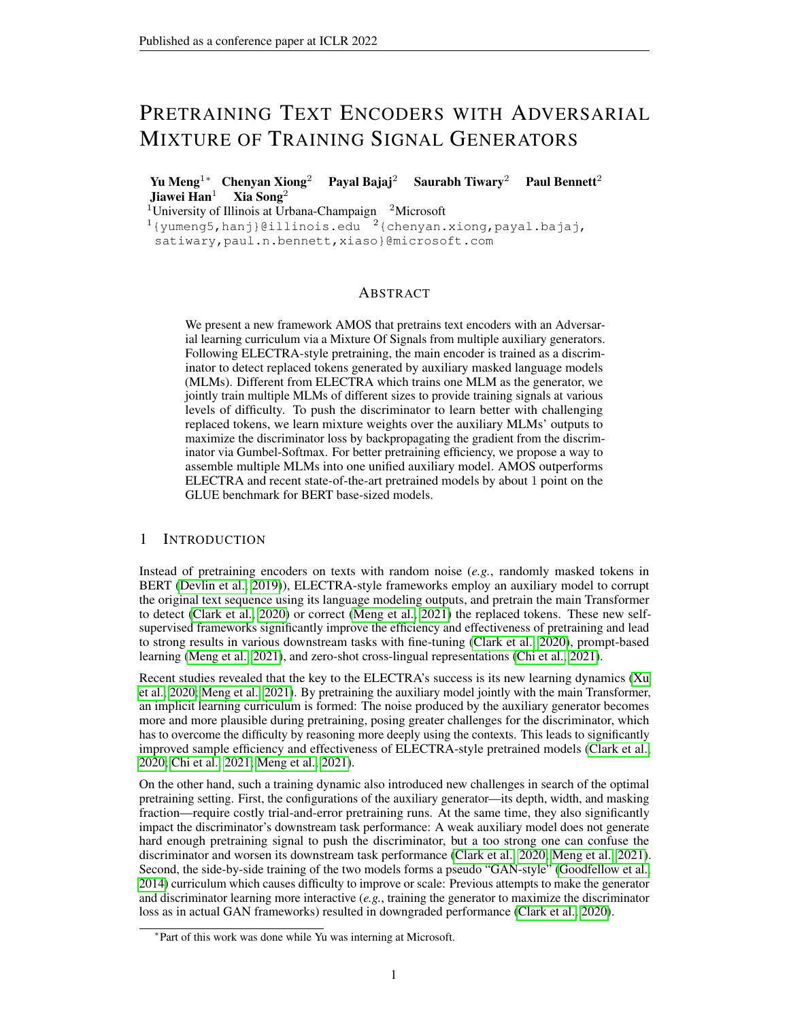Table 11: Examples of replaced tokens by different-sized MLM generators. Underlined words are masked out; the replaced tokens by 4/6/8-layer generators are marked in different colors.

<span id="page-16-3"></span>**Example 1.** "Here, let me show you that animal." He pointed up to  $(at/ath)$  the canopy; hanging from a white branch was (of/stood/stood) a pale, hairless creature (shape/plant/animal). It was bilaterally symmetrical, with two pairs of tightly (long/firmly/strongly) folded limbs, but did not appear to have any discernible head.

Example 2. In 2012, about  $3/000$  (6/1,800/1,800) villagers remained in Rammun, while there are about 7; 000 in the Palestinian diaspora, chiefly in the United States. Many in the diaspora have second homes in the (this/the/their) village. These homes have been troubled by burglaries, therefore some owners have organised night-watches (things/boxes/searches).

# H PROBING EXPERIMENTS WITH DIFFERENT SETUPS

In addition to the probing experiments conducted in Section [5.2,](#page-7-1) we also show the results under a different setup: Instead of testing the linguistic information captured by different MLM layers in AMOS generator, we conduct the same tests on separate generators with different depths (4 layers, 6 layers and 8 layers). The probing test results on eight tasks are shown in Table [10.](#page-16-2) Similar to the results in Table [3,](#page-7-0) generators of different depths are good at capturing different types of linguistic information. Therefore, it is also possible to compose diverse training signals with multiple separate generators with different numbers of layers. Such findings may be useful for future studies that explore using multiple different-sized auxiliary models to provide training signals emphasizing different linguistic aspects.

Table 10: Edge probing results of (separate) generators with different numbers of Transformer layers.

<span id="page-16-2"></span>

| <b>Tasks</b>     | 4 layer | 6 layer | 8 layer |
|------------------|---------|---------|---------|
| <b>POS</b>       | 93.7    | 94.7    | 94.3    |
| Consts.          | 75.0    | 76.2    | 76.3    |
| Deps.            | 88.8    | 89.4    | 89.5    |
| Entities         | 93.6    | 94.8    | 94.9    |
| <b>SRL</b>       | 80.9    | 81.6    | 82.3    |
| Coref.           | 80.0    | 81.7    | 81.7    |
| SPR <sub>2</sub> | 79.8    | 81.3    | 80.2    |
| Relations        | 74.5    | 75.8    | 75.0    |
|                  |         |         |         |

### <span id="page-16-1"></span>I CASE STUDY

Table [11](#page-16-3) provides concrete cases of replaced tokens generated by different generator layers. The "mistakes" made by different generator layers have different levels of difficulty to be detected–The 4th layer MLM sometimes makes simple syntactic mistakes while the replaced tokens given by the 6th/8th layer are mostly plausible and need to be distinguished based on a deep understanding of the full contexts. This intuitively confirms our motivation that using a generator of multiple MLM heads can provide diverse pretraining signals to compose a more effective learning curriculum.

### <span id="page-16-0"></span>J THE ORIGINS OF REPORTED BASELINE SCORES

The baseline results reported in Table [1](#page-6-1) are obtained from the corresponding papers except the following: BERT/RoBERTa from [Bao et al.](#page-9-9) [\(2020\)](#page-9-9), ELECTRA from [Meng et al.](#page-10-0) [\(2021\)](#page-10-0), XLNet *base++* from [Bao et al.](#page-9-9) [\(2020\)](#page-9-9). When there are different reported scores for the same method, we use the highest of them in our comparisons.

# K SOCIETAL IMPACT

There have been concerns about the extensive costs of computing resource required by pretraining language models. The concerns include whether it is worthwhile to spend such enormous amount of resources in pretraining, and also whether the demanding resource requirements have posed a barrier for most institutions to conduct pretraining research, thus slowing down the overall scientific development.

One major motivation of this work is to more efficiently pretrain language models, including (1) to achieve better model effectiveness with fixed computing resource, and (2) to achieve the same